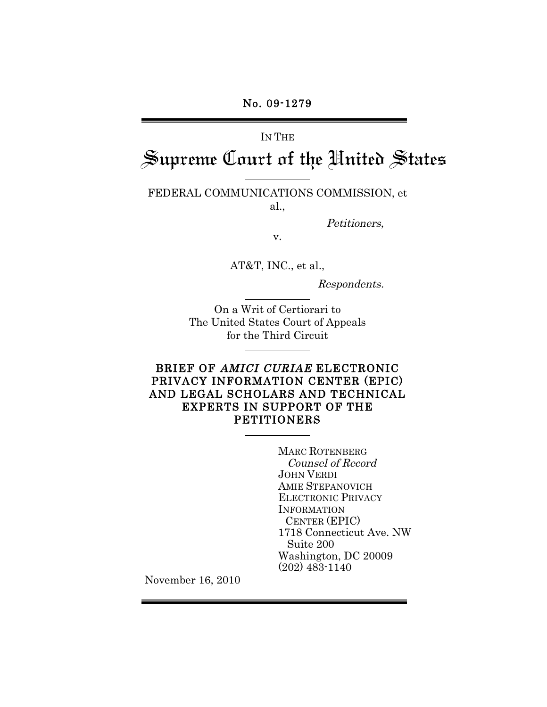# IN THE Supreme Court of the United States

FEDERAL COMMUNICATIONS COMMISSION, et al.,

Petitioners,

v.

AT&T, INC., et al.,

Respondents.

On a Writ of Certiorari to The United States Court of Appeals for the Third Circuit

### BRIEF OF AMICI CURIAE ELECTRONIC PRIVACY INFORMATION CENTER (EPIC) AND LEGAL SCHOLARS AND TECHNICAL EXPERTS IN SUPPORT OF THE PETITIONERS

MARC ROTENBERG Counsel of Record JOHN VERDI AMIE STEPANOVICH ELECTRONIC PRIVACY **INFORMATION**  CENTER (EPIC) 1718 Connecticut Ave. NW Suite 200 Washington, DC 20009 (202) 483-1140

November 16, 2010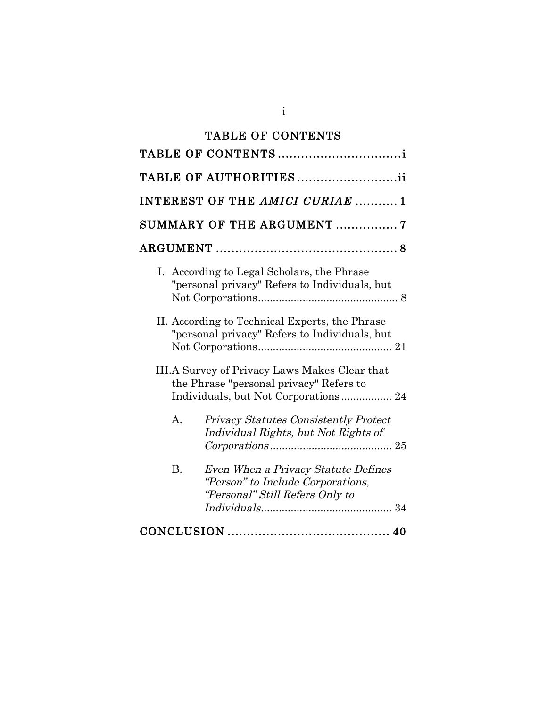# TABLE OF CONTENTS

| TABLE OF AUTHORITIESii                                                                                                           |
|----------------------------------------------------------------------------------------------------------------------------------|
| INTEREST OF THE AMICI CURIAE  1                                                                                                  |
| SUMMARY OF THE ARGUMENT 7                                                                                                        |
|                                                                                                                                  |
| I. According to Legal Scholars, the Phrase<br>"personal privacy" Refers to Individuals, but                                      |
| II. According to Technical Experts, the Phrase<br>"personal privacy" Refers to Individuals, but                                  |
| III.A Survey of Privacy Laws Makes Clear that<br>the Phrase "personal privacy" Refers to<br>Individuals, but Not Corporations 24 |
| <b>Privacy Statutes Consistently Protect</b><br>А.<br>Individual Rights, but Not Rights of                                       |
| <b>B.</b><br>Even When a Privacy Statute Defines<br>"Person" to Include Corporations,<br>"Personal" Still Refers Only to         |
|                                                                                                                                  |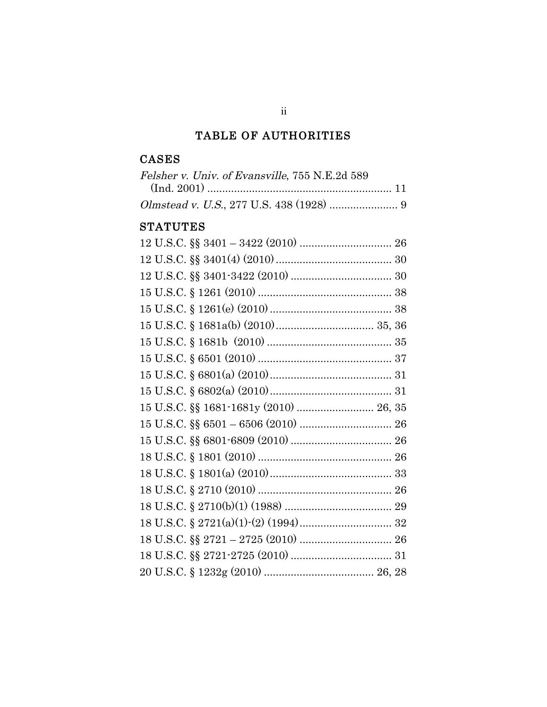# TABLE OF AUTHORITIES

# CASES

| Felsher v. Univ. of Evansville, 755 N.E.2d 589 |  |
|------------------------------------------------|--|
|                                                |  |
|                                                |  |

# **STATUTES**

ii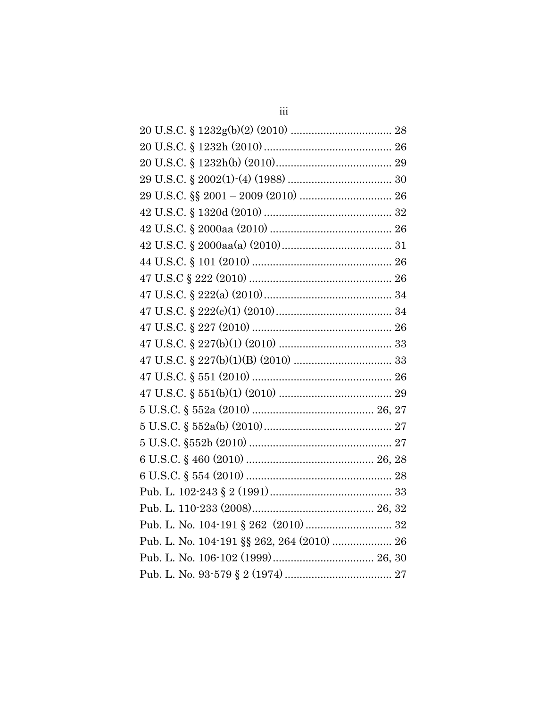| Pub. L. No. 104-191 §§ 262, 264 (2010)  26 |  |
|--------------------------------------------|--|
|                                            |  |
|                                            |  |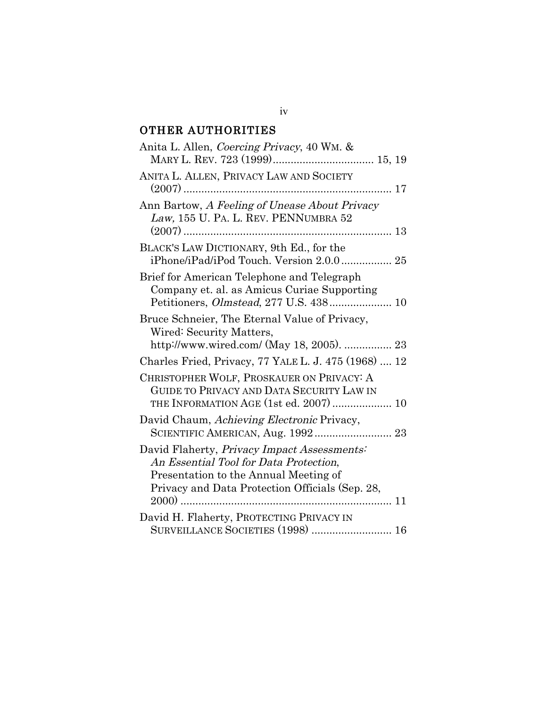# OTHER AUTHORITIES

| Anita L. Allen, Coercing Privacy, 40 WM. &                                                                                                                                        |
|-----------------------------------------------------------------------------------------------------------------------------------------------------------------------------------|
| ANITA L. ALLEN, PRIVACY LAW AND SOCIETY                                                                                                                                           |
| Ann Bartow, A Feeling of Unease About Privacy<br>Law, 155 U. PA. L. REV. PENNUMBRA 52                                                                                             |
| BLACK'S LAW DICTIONARY, 9th Ed., for the<br>iPhone/iPad/iPod Touch. Version 2.0.0 25                                                                                              |
| Brief for American Telephone and Telegraph<br>Company et. al. as Amicus Curiae Supporting<br>Petitioners, <i>Olmstead</i> , 277 U.S. 438 10                                       |
| Bruce Schneier, The Eternal Value of Privacy,<br>Wired: Security Matters,<br>http://www.wired.com/ (May 18, 2005).  23                                                            |
| Charles Fried, Privacy, 77 YALE L. J. 475 (1968)  12                                                                                                                              |
| CHRISTOPHER WOLF, PROSKAUER ON PRIVACY: A<br>GUIDE TO PRIVACY AND DATA SECURITY LAW IN<br>THE INFORMATION AGE (1st ed. 2007)  10                                                  |
| David Chaum, Achieving Electronic Privacy,<br>SCIENTIFIC AMERICAN, Aug. 1992 23                                                                                                   |
| David Flaherty, Privacy Impact Assessments:<br>An Essential Tool for Data Protection,<br>Presentation to the Annual Meeting of<br>Privacy and Data Protection Officials (Sep. 28, |
| David H. Flaherty, PROTECTING PRIVACY IN<br>SURVEILLANCE SOCIETIES (1998)  16                                                                                                     |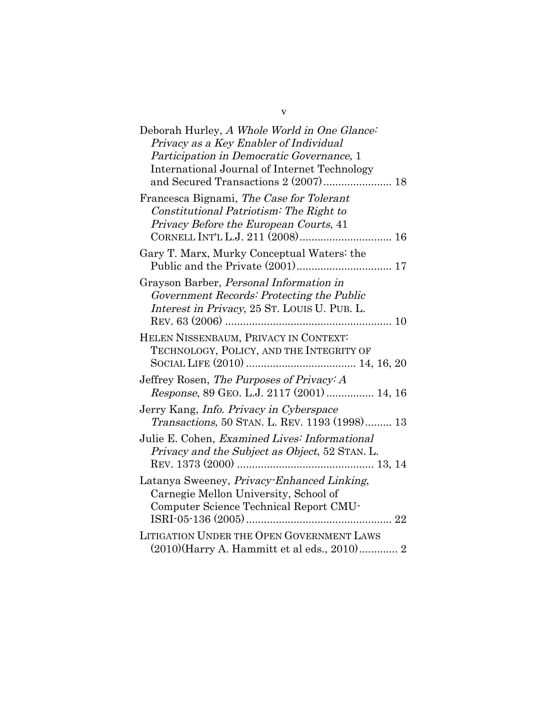| Deborah Hurley, A Whole World in One Glance:<br>Privacy as a Key Enabler of Individual<br>Participation in Democratic Governance, 1<br>International Journal of Internet Technology |
|-------------------------------------------------------------------------------------------------------------------------------------------------------------------------------------|
| Francesca Bignami, The Case for Tolerant<br>Constitutional Patriotism: The Right to<br>Privacy Before the European Courts, 41                                                       |
| Gary T. Marx, Murky Conceptual Waters: the                                                                                                                                          |
| Grayson Barber, Personal Information in<br>Government Records: Protecting the Public<br>Interest in Privacy, 25 ST. LOUIS U. PUB. L.                                                |
| HELEN NISSENBAUM, PRIVACY IN CONTEXT:<br>TECHNOLOGY, POLICY, AND THE INTEGRITY OF                                                                                                   |
| Jeffrey Rosen, The Purposes of Privacy: A<br>Response, 89 GEO. L.J. 2117 (2001)  14, 16                                                                                             |
| Jerry Kang, Info. Privacy in Cyberspace<br>Transactions, 50 STAN. L. REV. 1193 (1998) 13                                                                                            |
| Julie E. Cohen, Examined Lives: Informational<br>Privacy and the Subject as Object, 52 STAN. L.                                                                                     |
| Latanya Sweeney, Privacy-Enhanced Linking,<br>Carnegie Mellon University, School of<br>Computer Science Technical Report CMU-                                                       |
| <b>LITIGATION UNDER THE OPEN GOVERNMENT LAWS</b><br>(2010)(Harry A. Hammitt et al eds., 2010) 2                                                                                     |

v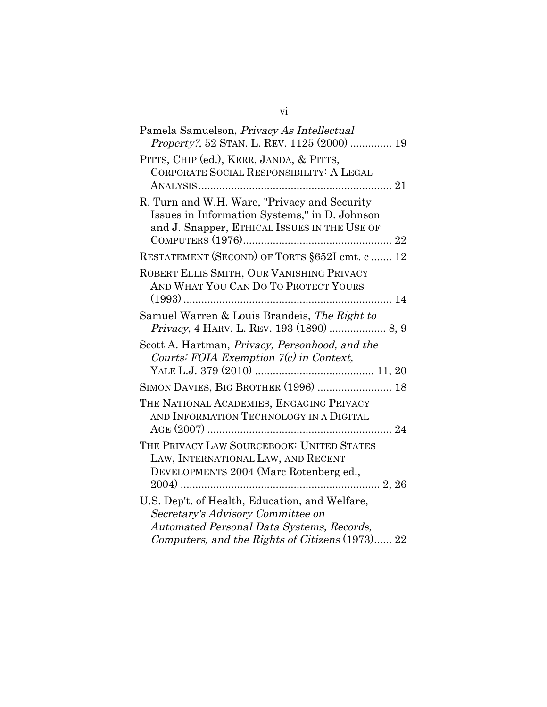| Pamela Samuelson, Privacy As Intellectual<br><i>Property?</i> , 52 STAN. L. REV. 1125 (2000)  19                                                                                    |
|-------------------------------------------------------------------------------------------------------------------------------------------------------------------------------------|
| PITTS, CHIP (ed.), KERR, JANDA, & PITTS,<br>CORPORATE SOCIAL RESPONSIBILITY: A LEGAL                                                                                                |
| R. Turn and W.H. Ware, "Privacy and Security<br>Issues in Information Systems," in D. Johnson<br>and J. Snapper, ETHICAL ISSUES IN THE USE OF                                       |
| RESTATEMENT (SECOND) OF TORTS § 652I cmt. c  12                                                                                                                                     |
| ROBERT ELLIS SMITH, OUR VANISHING PRIVACY<br>AND WHAT YOU CAN DO TO PROTECT YOURS                                                                                                   |
| Samuel Warren & Louis Brandeis, The Right to                                                                                                                                        |
| Scott A. Hartman, Privacy, Personhood, and the<br>Courts: FOIA Exemption $7(c)$ in Context, $\_\_$                                                                                  |
| SIMON DAVIES, BIG BROTHER (1996)  18                                                                                                                                                |
| THE NATIONAL ACADEMIES, ENGAGING PRIVACY<br>AND INFORMATION TECHNOLOGY IN A DIGITAL                                                                                                 |
| THE PRIVACY LAW SOURCEBOOK: UNITED STATES<br>LAW, INTERNATIONAL LAW, AND RECENT<br>DEVELOPMENTS 2004 (Marc Rotenberg ed.,                                                           |
| U.S. Dep't. of Health, Education, and Welfare,<br>Secretary's Advisory Committee on<br>Automated Personal Data Systems, Records,<br>Computers, and the Rights of Citizens (1973) 22 |

# vi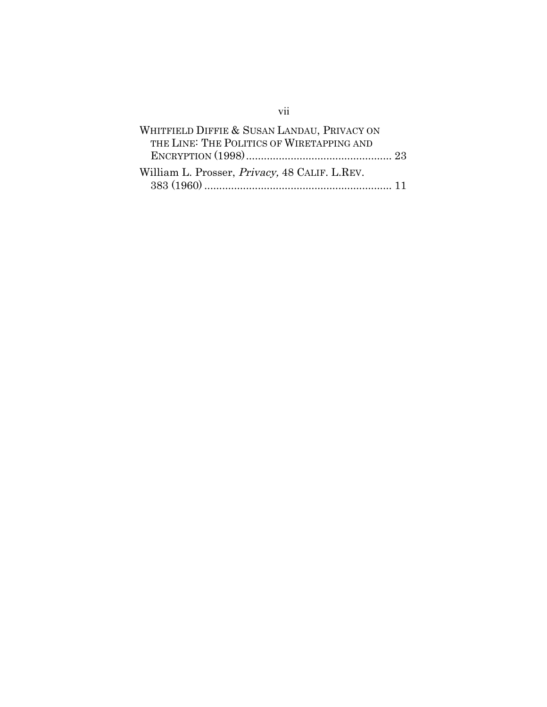| WHITFIELD DIFFIE & SUSAN LANDAU, PRIVACY ON           |  |
|-------------------------------------------------------|--|
| THE LINE: THE POLITICS OF WIRETAPPING AND             |  |
|                                                       |  |
| William L. Prosser, <i>Privacy</i> , 48 CALIF. L.REV. |  |
| $383\ (1960) \dots 11$                                |  |

vii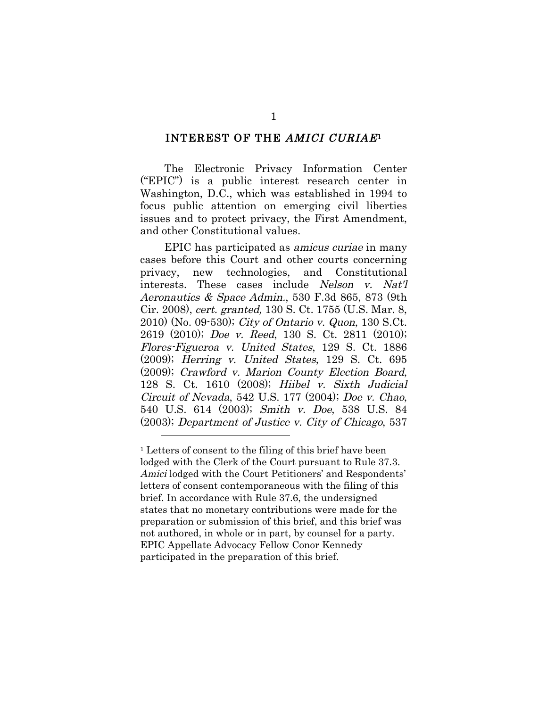#### INTEREST OF THE AMICI CURIAE1

The Electronic Privacy Information Center ("EPIC") is a public interest research center in Washington, D.C., which was established in 1994 to focus public attention on emerging civil liberties issues and to protect privacy, the First Amendment, and other Constitutional values.

EPIC has participated as amicus curiae in many cases before this Court and other courts concerning privacy, new technologies, and Constitutional interests. These cases include Nelson v. Nat'l Aeronautics & Space Admin., 530 F.3d 865, 873 (9th Cir. 2008), cert. granted, 130 S. Ct. 1755 (U.S. Mar. 8, 2010) (No. 09-530); City of Ontario v. Quon, 130 S.Ct. 2619 (2010); Doe v. Reed, 130 S. Ct. 2811 (2010); Flores-Figueroa v. United States, 129 S. Ct. 1886 (2009); Herring v. United States, 129 S. Ct. 695 (2009); Crawford v. Marion County Election Board, 128 S. Ct. 1610 (2008); Hiibel v. Sixth Judicial Circuit of Nevada, 542 U.S. 177 (2004); Doe v. Chao, 540 U.S. 614 (2003); Smith v. Doe, 538 U.S. 84 (2003); Department of Justice v. City of Chicago, 537

<sup>1</sup> Letters of consent to the filing of this brief have been lodged with the Clerk of the Court pursuant to Rule 37.3. Amici lodged with the Court Petitioners' and Respondents' letters of consent contemporaneous with the filing of this brief. In accordance with Rule 37.6, the undersigned states that no monetary contributions were made for the preparation or submission of this brief, and this brief was not authored, in whole or in part, by counsel for a party. EPIC Appellate Advocacy Fellow Conor Kennedy participated in the preparation of this brief.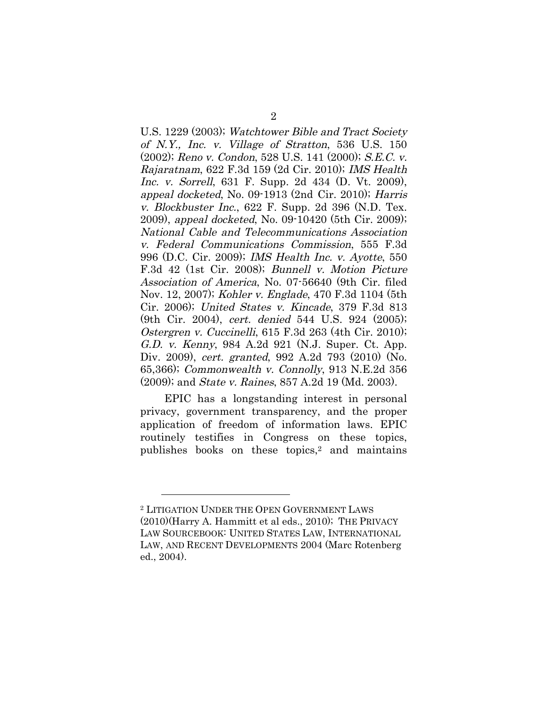U.S. 1229 (2003); Watchtower Bible and Tract Society of N.Y., Inc. v. Village of Stratton, 536 U.S. 150 (2002); Reno v. Condon, 528 U.S. 141 (2000); S.E.C. v. Rajaratnam, 622 F.3d 159 (2d Cir. 2010); IMS Health Inc. v. Sorrell, 631 F. Supp. 2d 434 (D. Vt. 2009), appeal docketed, No. 09-1913 (2nd Cir. 2010); Harris v. Blockbuster Inc., 622 F. Supp. 2d 396 (N.D. Tex. 2009), appeal docketed, No. 09-10420 (5th Cir. 2009); National Cable and Telecommunications Association v. Federal Communications Commission, 555 F.3d 996 (D.C. Cir. 2009); IMS Health Inc. v. Ayotte, 550 F.3d 42 (1st Cir. 2008); Bunnell v. Motion Picture Association of America, No. 07-56640 (9th Cir. filed Nov. 12, 2007); Kohler v. Englade, 470 F.3d 1104 (5th Cir. 2006); United States v. Kincade, 379 F.3d 813 (9th Cir. 2004), cert. denied 544 U.S. 924 (2005); Ostergren v. Cuccinelli, 615 F.3d 263 (4th Cir. 2010); G.D. v. Kenny, 984 A.2d 921 (N.J. Super. Ct. App. Div. 2009), cert. granted, 992 A.2d 793 (2010) (No. 65,366); Commonwealth v. Connolly, 913 N.E.2d 356 (2009); and State v. Raines, 857 A.2d 19 (Md. 2003).

EPIC has a longstanding interest in personal privacy, government transparency, and the proper application of freedom of information laws. EPIC routinely testifies in Congress on these topics, publishes books on these topics,2 and maintains

<sup>2</sup> LITIGATION UNDER THE OPEN GOVERNMENT LAWS (2010)(Harry A. Hammitt et al eds., 2010); THE PRIVACY LAW SOURCEBOOK: UNITED STATES LAW, INTERNATIONAL LAW, AND RECENT DEVELOPMENTS 2004 (Marc Rotenberg ed., 2004).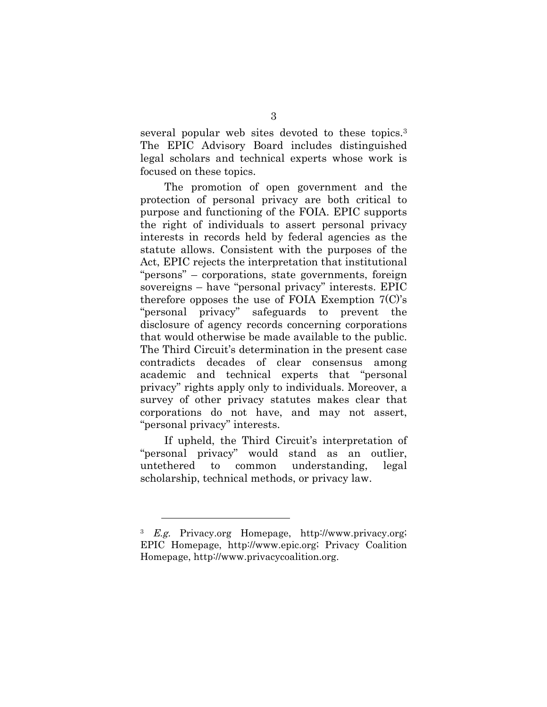several popular web sites devoted to these topics.3 The EPIC Advisory Board includes distinguished legal scholars and technical experts whose work is focused on these topics.

The promotion of open government and the protection of personal privacy are both critical to purpose and functioning of the FOIA. EPIC supports the right of individuals to assert personal privacy interests in records held by federal agencies as the statute allows. Consistent with the purposes of the Act, EPIC rejects the interpretation that institutional "persons" – corporations, state governments, foreign sovereigns – have "personal privacy" interests. EPIC therefore opposes the use of FOIA Exemption  $7^{\circ}$ . "personal privacy" safeguards to prevent the disclosure of agency records concerning corporations that would otherwise be made available to the public. The Third Circuit's determination in the present case contradicts decades of clear consensus among academic and technical experts that "personal privacy" rights apply only to individuals. Moreover, a survey of other privacy statutes makes clear that corporations do not have, and may not assert, "personal privacy" interests.

If upheld, the Third Circuit's interpretation of "personal privacy" would stand as an outlier, untethered to common understanding, legal scholarship, technical methods, or privacy law.

<sup>3</sup> E.g. Privacy.org Homepage, http://www.privacy.org; EPIC Homepage, http://www.epic.org; Privacy Coalition Homepage, http://www.privacycoalition.org.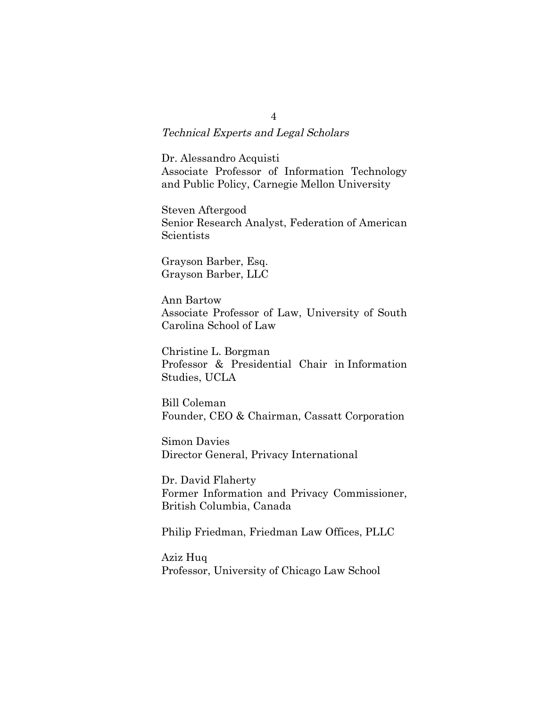Technical Experts and Legal Scholars

Dr. Alessandro Acquisti Associate Professor of Information Technology and Public Policy, Carnegie Mellon University

Steven Aftergood Senior Research Analyst, Federation of American Scientists

Grayson Barber, Esq. Grayson Barber, LLC

Ann Bartow Associate Professor of Law, University of South Carolina School of Law

Christine L. Borgman Professor & Presidential Chair in Information Studies, UCLA

Bill Coleman Founder, CEO & Chairman, Cassatt Corporation

Simon Davies Director General, Privacy International

Dr. David Flaherty Former Information and Privacy Commissioner, British Columbia, Canada

Philip Friedman, Friedman Law Offices, PLLC

Aziz Huq Professor, University of Chicago Law School

4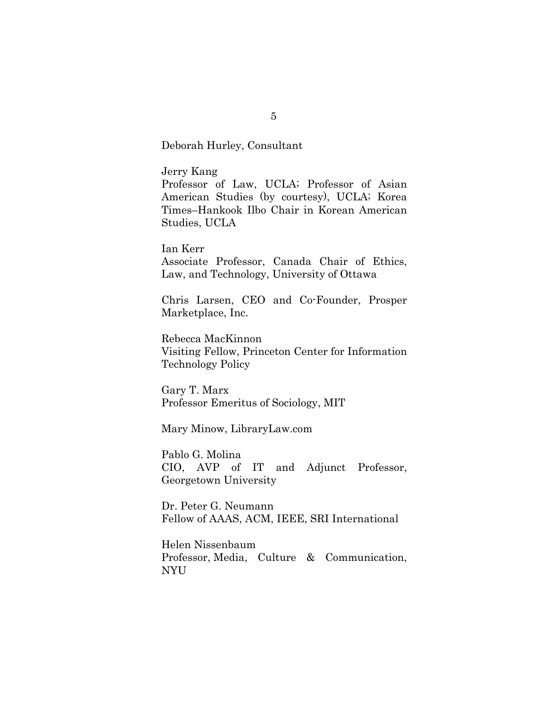Deborah Hurley, Consultant

Jerry Kang Professor of Law, UCLA; Professor of Asian American Studies (by courtesy), UCLA; Korea Times–Hankook Ilbo Chair in Korean American Studies, UCLA

Ian Kerr Associate Professor, Canada Chair of Ethics, Law, and Technology, University of Ottawa

Chris Larsen, CEO and Co-Founder, Prosper Marketplace, Inc.

Rebecca MacKinnon Visiting Fellow, Princeton Center for Information Technology Policy

Gary T. Marx Professor Emeritus of Sociology, MIT

Mary Minow, LibraryLaw.com

Pablo G. Molina CIO, AVP of IT and Adjunct Professor, Georgetown University

Dr. Peter G. Neumann Fellow of AAAS, ACM, IEEE, SRI International

Helen Nissenbaum Professor, Media, Culture & Communication, NYU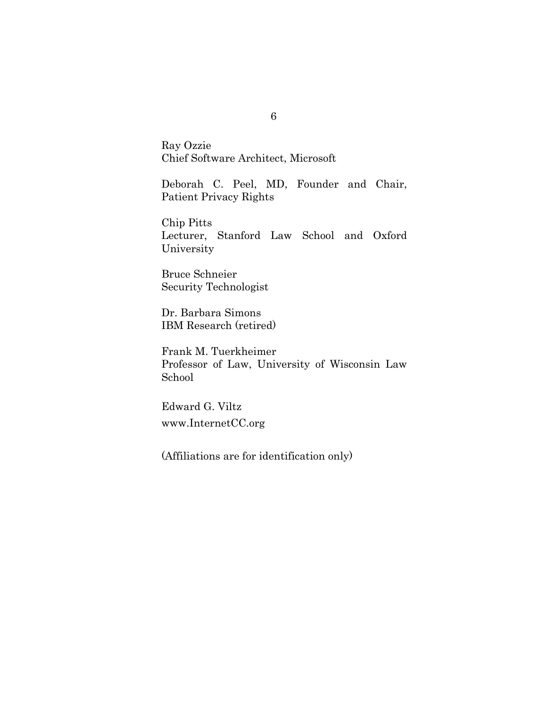Ray Ozzie Chief Software Architect, Microsoft

Deborah C. Peel, MD, Founder and Chair, Patient Privacy Rights

Chip Pitts Lecturer, Stanford Law School and Oxford University

Bruce Schneier Security Technologist

Dr. Barbara Simons IBM Research (retired)

Frank M. Tuerkheimer Professor of Law, University of Wisconsin Law School

Edward G. Viltz www.InternetCC.org

(Affiliations are for identification only)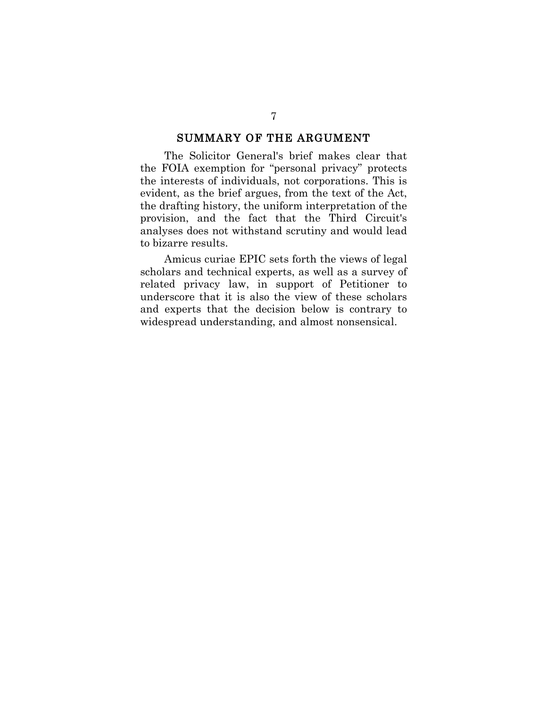#### SUMMARY OF THE ARGUMENT

The Solicitor General's brief makes clear that the FOIA exemption for "personal privacy" protects the interests of individuals, not corporations. This is evident, as the brief argues, from the text of the Act, the drafting history, the uniform interpretation of the provision, and the fact that the Third Circuit's analyses does not withstand scrutiny and would lead to bizarre results.

Amicus curiae EPIC sets forth the views of legal scholars and technical experts, as well as a survey of related privacy law, in support of Petitioner to underscore that it is also the view of these scholars and experts that the decision below is contrary to widespread understanding, and almost nonsensical.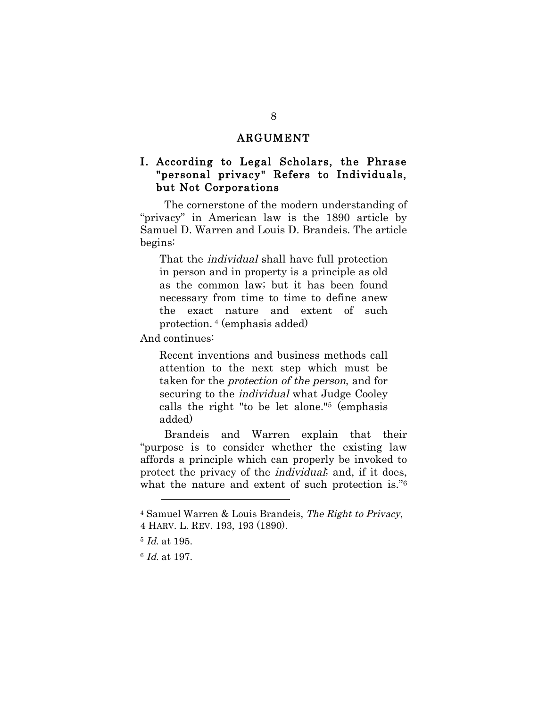#### ARGUMENT

#### I. According to Legal Scholars, the Phrase "personal privacy" Refers to Individuals, but Not Corporations

The cornerstone of the modern understanding of "privacy" in American law is the 1890 article by Samuel D. Warren and Louis D. Brandeis. The article begins:

That the individual shall have full protection in person and in property is a principle as old as the common law; but it has been found necessary from time to time to define anew the exact nature and extent of such protection. 4 (emphasis added)

And continues:

Recent inventions and business methods call attention to the next step which must be taken for the protection of the person, and for securing to the individual what Judge Cooley calls the right "to be let alone."5 (emphasis added)

Brandeis and Warren explain that their "purpose is to consider whether the existing law affords a principle which can properly be invoked to protect the privacy of the individual; and, if it does, what the nature and extent of such protection is."6

<sup>4</sup> Samuel Warren & Louis Brandeis, The Right to Privacy, 4 HARV. L. REV. 193, 193 (1890).

<sup>5</sup> Id. at 195.

<sup>6</sup> Id. at 197.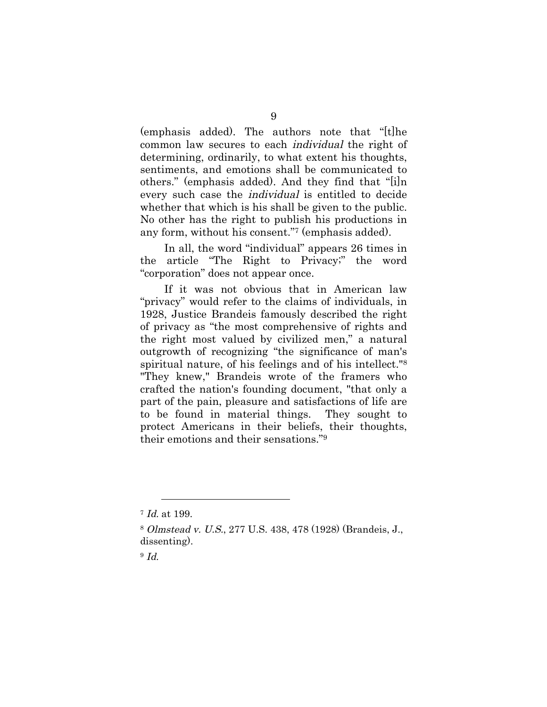(emphasis added). The authors note that "[t]he common law secures to each individual the right of determining, ordinarily, to what extent his thoughts, sentiments, and emotions shall be communicated to others." (emphasis added). And they find that "[i]n every such case the individual is entitled to decide whether that which is his shall be given to the public. No other has the right to publish his productions in any form, without his consent."7 (emphasis added).

In all, the word "individual" appears 26 times in the article "The Right to Privacy;" the word "corporation" does not appear once.

If it was not obvious that in American law "privacy" would refer to the claims of individuals, in 1928, Justice Brandeis famously described the right of privacy as "the most comprehensive of rights and the right most valued by civilized men," a natural outgrowth of recognizing "the significance of man's spiritual nature, of his feelings and of his intellect."8 "They knew," Brandeis wrote of the framers who crafted the nation's founding document, "that only a part of the pain, pleasure and satisfactions of life are to be found in material things. They sought to protect Americans in their beliefs, their thoughts, their emotions and their sensations."9

 $\overline{a}$ <sup>7</sup> Id. at 199.

<sup>8</sup> Olmstead v. U.S., 277 U.S. 438, 478 (1928) (Brandeis, J., dissenting).

<sup>9</sup> Id.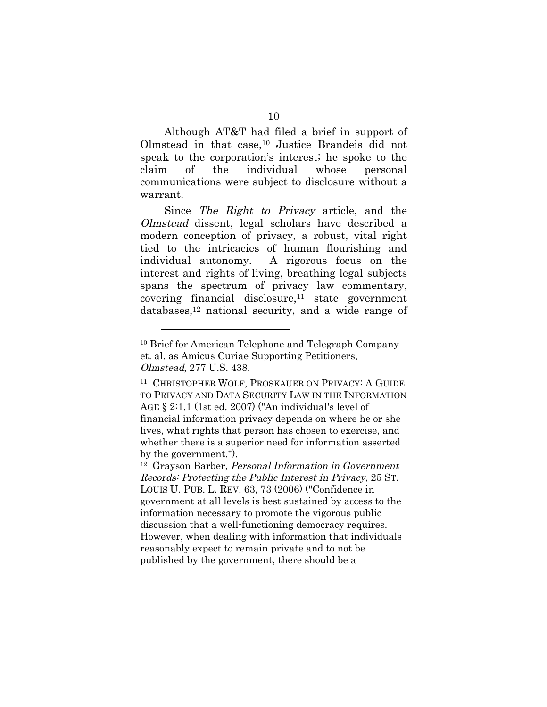Although AT&T had filed a brief in support of Olmstead in that case,10 Justice Brandeis did not speak to the corporation's interest; he spoke to the claim of the individual whose personal communications were subject to disclosure without a warrant.

Since The Right to Privacy article, and the Olmstead dissent, legal scholars have described a modern conception of privacy, a robust, vital right tied to the intricacies of human flourishing and individual autonomy. A rigorous focus on the interest and rights of living, breathing legal subjects spans the spectrum of privacy law commentary, covering financial disclosure,<sup>11</sup> state government databases,12 national security, and a wide range of

<sup>10</sup> Brief for American Telephone and Telegraph Company et. al. as Amicus Curiae Supporting Petitioners, Olmstead, 277 U.S. 438.

<sup>11</sup> CHRISTOPHER WOLF, PROSKAUER ON PRIVACY: A GUIDE TO PRIVACY AND DATA SECURITY LAW IN THE INFORMATION AGE § 2:1.1 (1st ed. 2007) ("An individual's level of financial information privacy depends on where he or she lives, what rights that person has chosen to exercise, and whether there is a superior need for information asserted by the government.").

<sup>12</sup> Grayson Barber, Personal Information in Government Records: Protecting the Public Interest in Privacy, 25 ST. LOUIS U. PUB. L. REV. 63, 73 (2006) ("Confidence in government at all levels is best sustained by access to the information necessary to promote the vigorous public discussion that a well-functioning democracy requires. However, when dealing with information that individuals reasonably expect to remain private and to not be published by the government, there should be a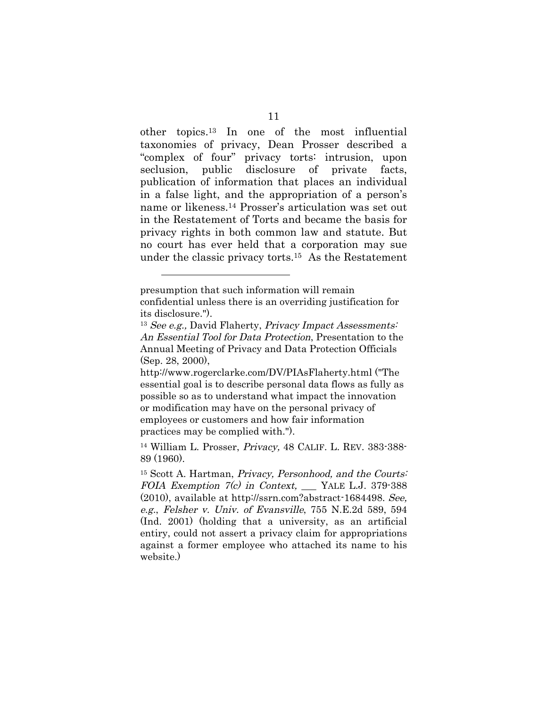other topics.13 In one of the most influential taxonomies of privacy, Dean Prosser described a "complex of four" privacy torts: intrusion, upon seclusion, public disclosure of private facts, publication of information that places an individual in a false light, and the appropriation of a person's name or likeness.14 Prosser's articulation was set out in the Restatement of Torts and became the basis for privacy rights in both common law and statute. But no court has ever held that a corporation may sue under the classic privacy torts.15 As the Restatement

presumption that such information will remain confidential unless there is an overriding justification for its disclosure.").

 $13$  See e.g., David Flaherty, Privacy Impact Assessments: An Essential Tool for Data Protection, Presentation to the Annual Meeting of Privacy and Data Protection Officials (Sep. 28, 2000),

http://www.rogerclarke.com/DV/PIAsFlaherty.html ("The essential goal is to describe personal data flows as fully as possible so as to understand what impact the innovation or modification may have on the personal privacy of employees or customers and how fair information practices may be complied with.").

<sup>14</sup> William L. Prosser, Privacy, 48 CALIF. L. REV. 383-388- 89 (1960).

<sup>15</sup> Scott A. Hartman, Privacy, Personhood, and the Courts: FOIA Exemption 7(c) in Context, NRLE L.J. 379-388 (2010), available at http://ssrn.com?abstract-1684498. See, e.g., Felsher v. Univ. of Evansville, 755 N.E.2d 589, 594 (Ind. 2001) (holding that a university, as an artificial entiry, could not assert a privacy claim for appropriations against a former employee who attached its name to his website.)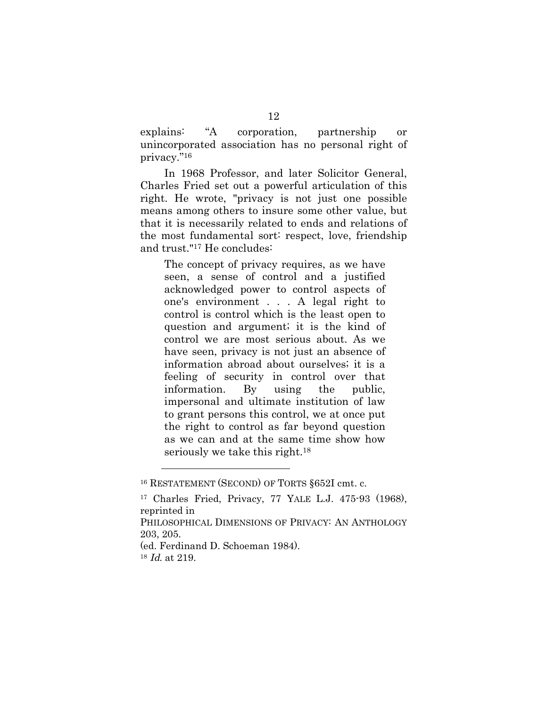explains: "A corporation, partnership or unincorporated association has no personal right of privacy."16

In 1968 Professor, and later Solicitor General, Charles Fried set out a powerful articulation of this right. He wrote, "privacy is not just one possible means among others to insure some other value, but that it is necessarily related to ends and relations of the most fundamental sort: respect, love, friendship and trust."17 He concludes:

The concept of privacy requires, as we have seen, a sense of control and a justified acknowledged power to control aspects of one's environment . . . A legal right to control is control which is the least open to question and argument; it is the kind of control we are most serious about. As we have seen, privacy is not just an absence of information abroad about ourselves; it is a feeling of security in control over that information. By using the public, impersonal and ultimate institution of law to grant persons this control, we at once put the right to control as far beyond question as we can and at the same time show how seriously we take this right.<sup>18</sup>

(ed. Ferdinand D. Schoeman 1984).

<sup>16</sup> RESTATEMENT (SECOND) OF TORTS §652I cmt. c.

<sup>17</sup> Charles Fried, Privacy, 77 YALE L.J. 475-93 (1968), reprinted in

PHILOSOPHICAL DIMENSIONS OF PRIVACY: AN ANTHOLOGY 203, 205.

<sup>18</sup> Id. at 219.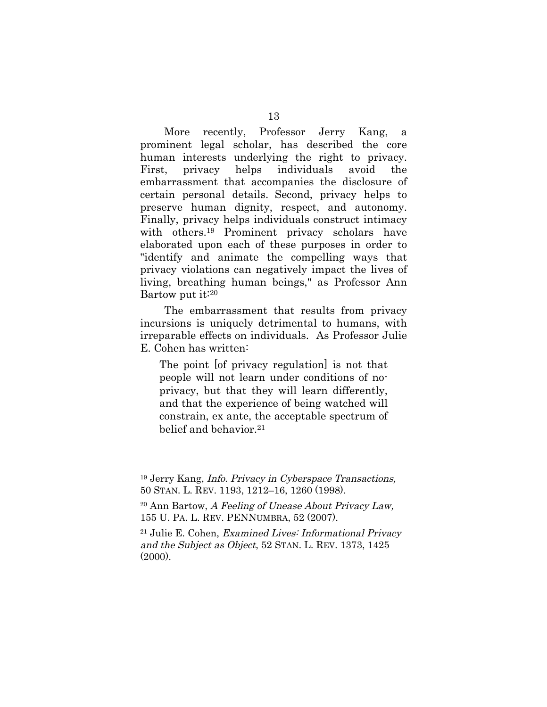More recently, Professor Jerry Kang, a prominent legal scholar, has described the core human interests underlying the right to privacy. First, privacy helps individuals avoid the embarrassment that accompanies the disclosure of certain personal details. Second, privacy helps to preserve human dignity, respect, and autonomy. Finally, privacy helps individuals construct intimacy with others.<sup>19</sup> Prominent privacy scholars have elaborated upon each of these purposes in order to "identify and animate the compelling ways that privacy violations can negatively impact the lives of living, breathing human beings," as Professor Ann Bartow put it:20

The embarrassment that results from privacy incursions is uniquely detrimental to humans, with irreparable effects on individuals. As Professor Julie E. Cohen has written:

The point [of privacy regulation] is not that people will not learn under conditions of noprivacy, but that they will learn differently, and that the experience of being watched will constrain, ex ante, the acceptable spectrum of belief and behavior 21

<sup>19</sup> Jerry Kang, Info. Privacy in Cyberspace Transactions, 50 STAN. L. REV. 1193, 1212–16, 1260 (1998).

 $20$  Ann Bartow, A Feeling of Unease About Privacy Law, 155 U. PA. L. REV. PENNUMBRA, 52 (2007).

<sup>21</sup> Julie E. Cohen, Examined Lives: Informational Privacy and the Subject as Object, 52 STAN. L. REV. 1373, 1425  $(2000)$ .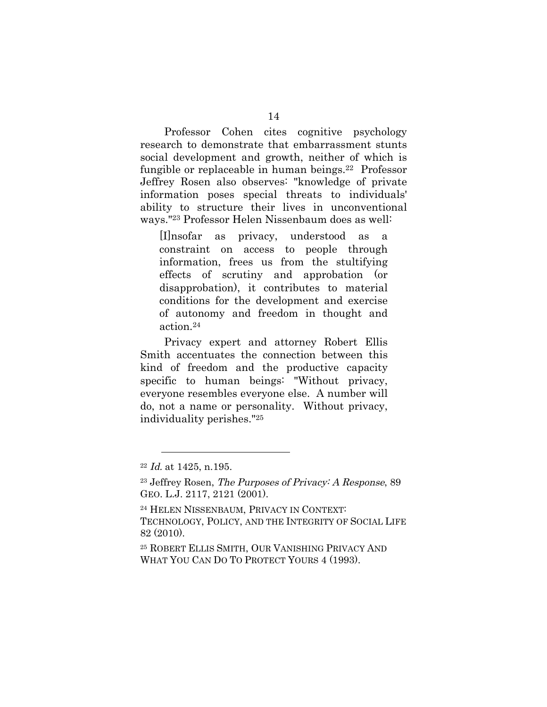Professor Cohen cites cognitive psychology research to demonstrate that embarrassment stunts social development and growth, neither of which is fungible or replaceable in human beings.22 Professor Jeffrey Rosen also observes: "knowledge of private information poses special threats to individuals' ability to structure their lives in unconventional ways."23 Professor Helen Nissenbaum does as well:

[I]nsofar as privacy, understood as a constraint on access to people through information, frees us from the stultifying effects of scrutiny and approbation (or disapprobation), it contributes to material conditions for the development and exercise of autonomy and freedom in thought and action.24

Privacy expert and attorney Robert Ellis Smith accentuates the connection between this kind of freedom and the productive capacity specific to human beings: "Without privacy, everyone resembles everyone else. A number will do, not a name or personality. Without privacy, individuality perishes."25

 $22$  *Id.* at 1425, n.195.

 $23$  Jeffrey Rosen, The Purposes of Privacy: A Response, 89 GEO. L.J. 2117, 2121 (2001).

<sup>24</sup> HELEN NISSENBAUM, PRIVACY IN CONTEXT: TECHNOLOGY, POLICY, AND THE INTEGRITY OF SOCIAL LIFE 82 (2010).

<sup>25</sup> ROBERT ELLIS SMITH, OUR VANISHING PRIVACY AND WHAT YOU CAN DO TO PROTECT YOURS 4 (1993).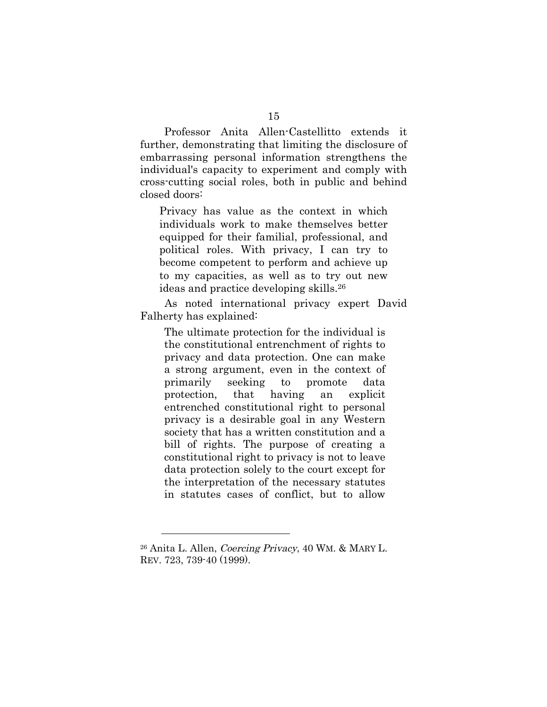Professor Anita Allen-Castellitto extends it further, demonstrating that limiting the disclosure of embarrassing personal information strengthens the individual's capacity to experiment and comply with cross-cutting social roles, both in public and behind closed doors:

Privacy has value as the context in which individuals work to make themselves better equipped for their familial, professional, and political roles. With privacy, I can try to become competent to perform and achieve up to my capacities, as well as to try out new ideas and practice developing skills.26

As noted international privacy expert David Falherty has explained:

The ultimate protection for the individual is the constitutional entrenchment of rights to privacy and data protection. One can make a strong argument, even in the context of primarily seeking to promote data protection, that having an explicit entrenched constitutional right to personal privacy is a desirable goal in any Western society that has a written constitution and a bill of rights. The purpose of creating a constitutional right to privacy is not to leave data protection solely to the court except for the interpretation of the necessary statutes in statutes cases of conflict, but to allow

<sup>26</sup> Anita L. Allen, Coercing Privacy, 40 WM. & MARY L. REV. 723, 739-40 (1999).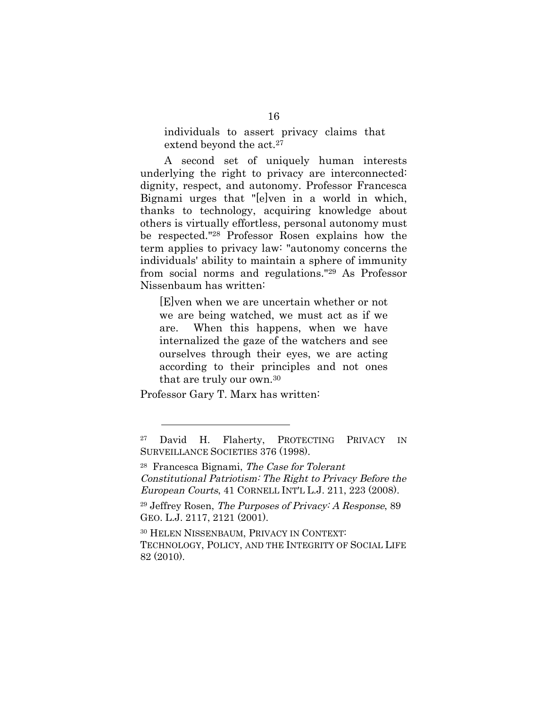individuals to assert privacy claims that extend beyond the act.<sup>27</sup>

A second set of uniquely human interests underlying the right to privacy are interconnected: dignity, respect, and autonomy. Professor Francesca Bignami urges that "[e]ven in a world in which, thanks to technology, acquiring knowledge about others is virtually effortless, personal autonomy must be respected."28 Professor Rosen explains how the term applies to privacy law: "autonomy concerns the individuals' ability to maintain a sphere of immunity from social norms and regulations."29 As Professor Nissenbaum has written:

[E]ven when we are uncertain whether or not we are being watched, we must act as if we are. When this happens, when we have internalized the gaze of the watchers and see ourselves through their eyes, we are acting according to their principles and not ones that are truly our own.30

Professor Gary T. Marx has written:

<sup>27</sup> David H. Flaherty, PROTECTING PRIVACY IN SURVEILLANCE SOCIETIES 376 (1998).

 $28$  Francesca Bignami, The Case for Tolerant Constitutional Patriotism: The Right to Privacy Before the European Courts, 41 CORNELL INT'L L.J. 211, 223 (2008).

<sup>29</sup> Jeffrey Rosen, The Purposes of Privacy: A Response, 89 GEO. L.J. 2117, 2121 (2001).

<sup>30</sup> HELEN NISSENBAUM, PRIVACY IN CONTEXT: TECHNOLOGY, POLICY, AND THE INTEGRITY OF SOCIAL LIFE 82 (2010).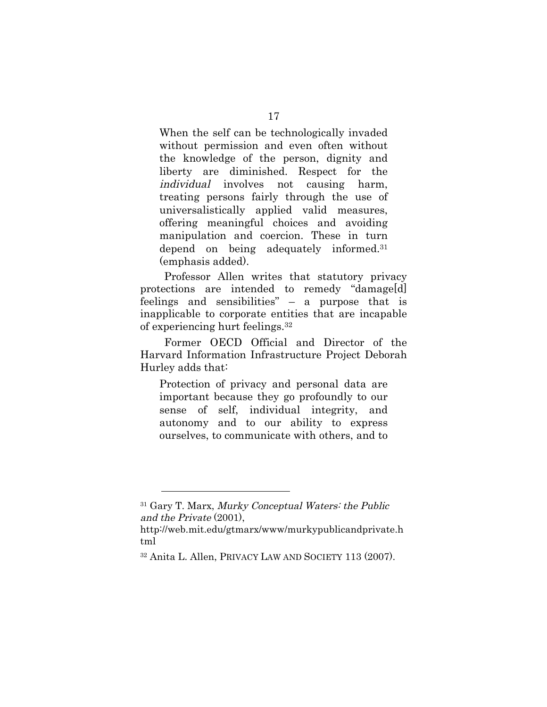When the self can be technologically invaded without permission and even often without the knowledge of the person, dignity and liberty are diminished. Respect for the individual involves not causing harm, treating persons fairly through the use of universalistically applied valid measures, offering meaningful choices and avoiding manipulation and coercion. These in turn depend on being adequately informed.31 (emphasis added).

Professor Allen writes that statutory privacy protections are intended to remedy "damage[d] feelings and sensibilities" – a purpose that is inapplicable to corporate entities that are incapable of experiencing hurt feelings.32

Former OECD Official and Director of the Harvard Information Infrastructure Project Deborah Hurley adds that:

Protection of privacy and personal data are important because they go profoundly to our sense of self, individual integrity, and autonomy and to our ability to express ourselves, to communicate with others, and to

<sup>31</sup> Gary T. Marx, Murky Conceptual Waters: the Public and the Private (2001),

http://web.mit.edu/gtmarx/www/murkypublicandprivate.h tml

<sup>32</sup> Anita L. Allen, PRIVACY LAW AND SOCIETY 113 (2007).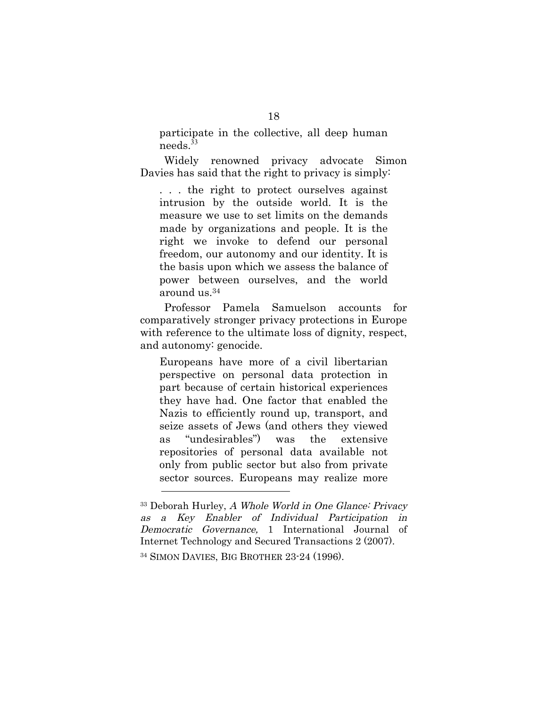participate in the collective, all deep human needs.<sup>33</sup>

Widely renowned privacy advocate Simon Davies has said that the right to privacy is simply:

. . . the right to protect ourselves against intrusion by the outside world. It is the measure we use to set limits on the demands made by organizations and people. It is the right we invoke to defend our personal freedom, our autonomy and our identity. It is the basis upon which we assess the balance of power between ourselves, and the world around us.34

Professor Pamela Samuelson accounts for comparatively stronger privacy protections in Europe with reference to the ultimate loss of dignity, respect, and autonomy: genocide.

Europeans have more of a civil libertarian perspective on personal data protection in part because of certain historical experiences they have had. One factor that enabled the Nazis to efficiently round up, transport, and seize assets of Jews (and others they viewed as "undesirables") was the extensive repositories of personal data available not only from public sector but also from private sector sources. Europeans may realize more

<sup>33</sup> Deborah Hurley, A Whole World in One Glance: Privacy as a Key Enabler of Individual Participation in Democratic Governance, 1 International Journal of Internet Technology and Secured Transactions 2 (2007). <sup>34</sup> SIMON DAVIES, BIG BROTHER 23-24 (1996).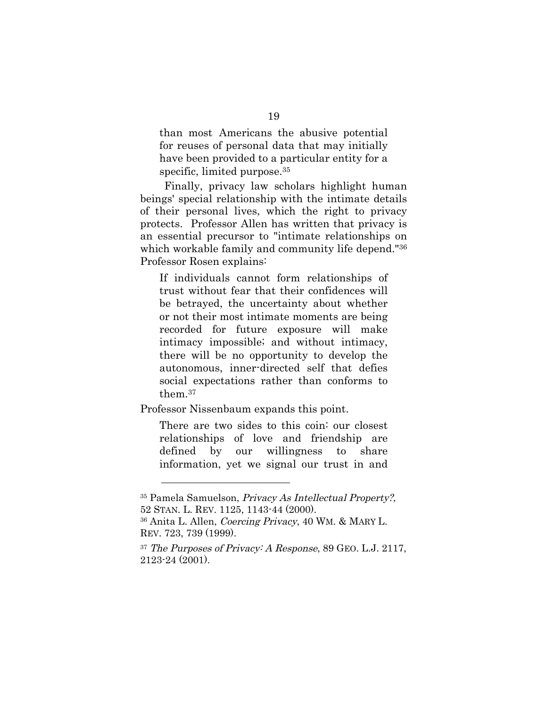than most Americans the abusive potential for reuses of personal data that may initially have been provided to a particular entity for a specific, limited purpose.<sup>35</sup>

Finally, privacy law scholars highlight human beings' special relationship with the intimate details of their personal lives, which the right to privacy protects. Professor Allen has written that privacy is an essential precursor to "intimate relationships on which workable family and community life depend."<sup>36</sup> Professor Rosen explains:

If individuals cannot form relationships of trust without fear that their confidences will be betrayed, the uncertainty about whether or not their most intimate moments are being recorded for future exposure will make intimacy impossible; and without intimacy, there will be no opportunity to develop the autonomous, inner-directed self that defies social expectations rather than conforms to them.37

Professor Nissenbaum expands this point.

 $\overline{a}$ 

There are two sides to this coin: our closest relationships of love and friendship are defined by our willingness to share information, yet we signal our trust in and

<sup>35</sup> Pamela Samuelson, Privacy As Intellectual Property?, 52 STAN. L. REV. 1125, 1143-44 (2000).

<sup>36</sup> Anita L. Allen, Coercing Privacy, 40 WM. & MARY L. REV. 723, 739 (1999).

 $37$  The Purposes of Privacy: A Response, 89 GEO. L.J. 2117, 2123-24 (2001).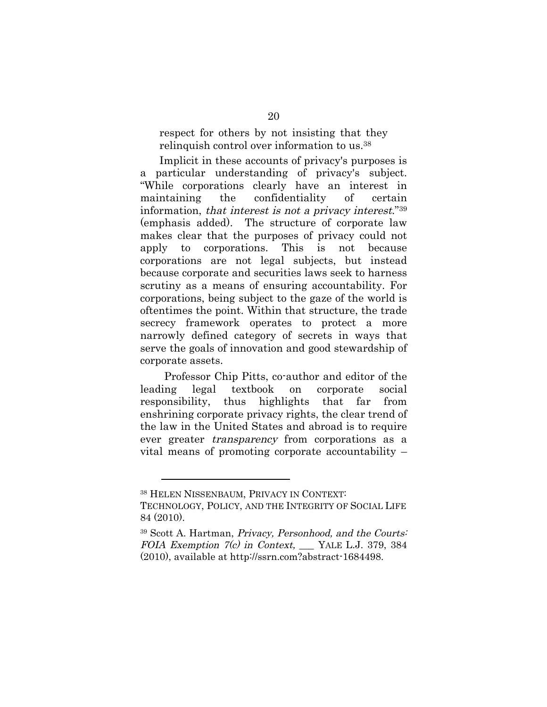respect for others by not insisting that they relinquish control over information to us.38

Implicit in these accounts of privacy's purposes is a particular understanding of privacy's subject. "While corporations clearly have an interest in maintaining the confidentiality of certain information, that interest is not a privacy interest."39 (emphasis added). The structure of corporate law makes clear that the purposes of privacy could not apply to corporations. This is not because corporations are not legal subjects, but instead because corporate and securities laws seek to harness scrutiny as a means of ensuring accountability. For corporations, being subject to the gaze of the world is oftentimes the point. Within that structure, the trade secrecy framework operates to protect a more narrowly defined category of secrets in ways that serve the goals of innovation and good stewardship of corporate assets.

Professor Chip Pitts, co-author and editor of the leading legal textbook on corporate social responsibility, thus highlights that far from enshrining corporate privacy rights, the clear trend of the law in the United States and abroad is to require ever greater transparency from corporations as a vital means of promoting corporate accountability –

<sup>38</sup> HELEN NISSENBAUM, PRIVACY IN CONTEXT:

TECHNOLOGY, POLICY, AND THE INTEGRITY OF SOCIAL LIFE 84 (2010).

<sup>39</sup> Scott A. Hartman, Privacy, Personhood, and the Courts: FOIA Exemption  $7(c)$  in Context, YALE L.J. 379, 384 (2010), available at http://ssrn.com?abstract-1684498.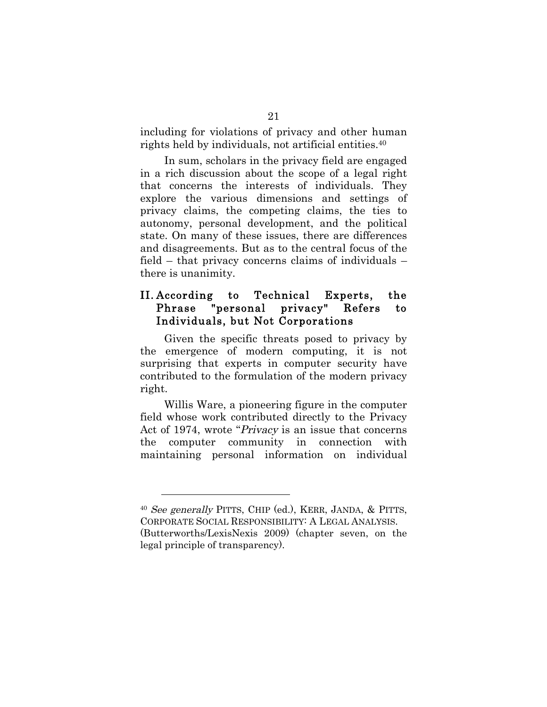including for violations of privacy and other human rights held by individuals, not artificial entities.40

In sum, scholars in the privacy field are engaged in a rich discussion about the scope of a legal right that concerns the interests of individuals. They explore the various dimensions and settings of privacy claims, the competing claims, the ties to autonomy, personal development, and the political state. On many of these issues, there are differences and disagreements. But as to the central focus of the field – that privacy concerns claims of individuals – there is unanimity.

#### II. According to Technical Experts, the Phrase "personal privacy" Refers to Individuals, but Not Corporations

Given the specific threats posed to privacy by the emergence of modern computing, it is not surprising that experts in computer security have contributed to the formulation of the modern privacy right.

Willis Ware, a pioneering figure in the computer field whose work contributed directly to the Privacy Act of 1974, wrote "Privacy is an issue that concerns the computer community in connection with maintaining personal information on individual

<sup>40</sup> See generally PITTS, CHIP (ed.), KERR, JANDA, & PITTS, CORPORATE SOCIAL RESPONSIBILITY: A LEGAL ANALYSIS. (Butterworths/LexisNexis 2009) (chapter seven, on the legal principle of transparency).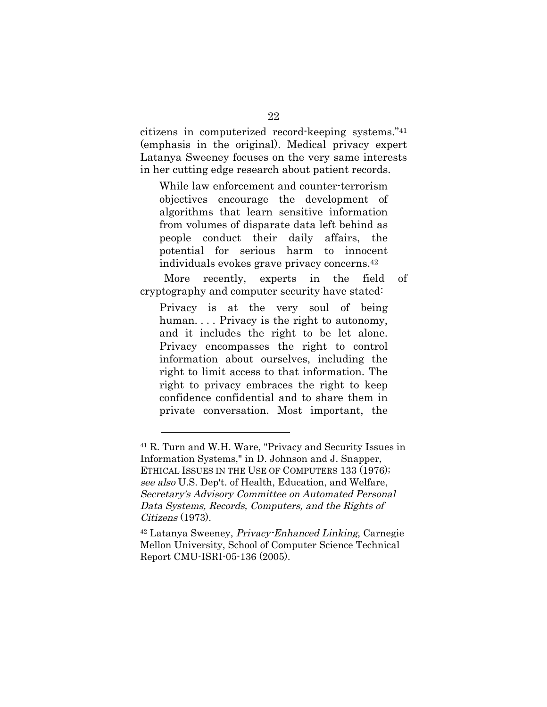citizens in computerized record-keeping systems."41 (emphasis in the original). Medical privacy expert Latanya Sweeney focuses on the very same interests in her cutting edge research about patient records.

While law enforcement and counter-terrorism objectives encourage the development of algorithms that learn sensitive information from volumes of disparate data left behind as people conduct their daily affairs, the potential for serious harm to innocent individuals evokes grave privacy concerns.42

More recently, experts in the field of cryptography and computer security have stated:

Privacy is at the very soul of being human. . . . Privacy is the right to autonomy, and it includes the right to be let alone. Privacy encompasses the right to control information about ourselves, including the right to limit access to that information. The right to privacy embraces the right to keep confidence confidential and to share them in private conversation. Most important, the

<sup>41</sup> R. Turn and W.H. Ware, "Privacy and Security Issues in Information Systems," in D. Johnson and J. Snapper, ETHICAL ISSUES IN THE USE OF COMPUTERS 133 (1976); see also U.S. Dep't. of Health, Education, and Welfare, Secretary's Advisory Committee on Automated Personal Data Systems, Records, Computers, and the Rights of Citizens (1973).

<sup>42</sup> Latanya Sweeney, Privacy-Enhanced Linking, Carnegie Mellon University, School of Computer Science Technical Report CMU-ISRI-05-136 (2005).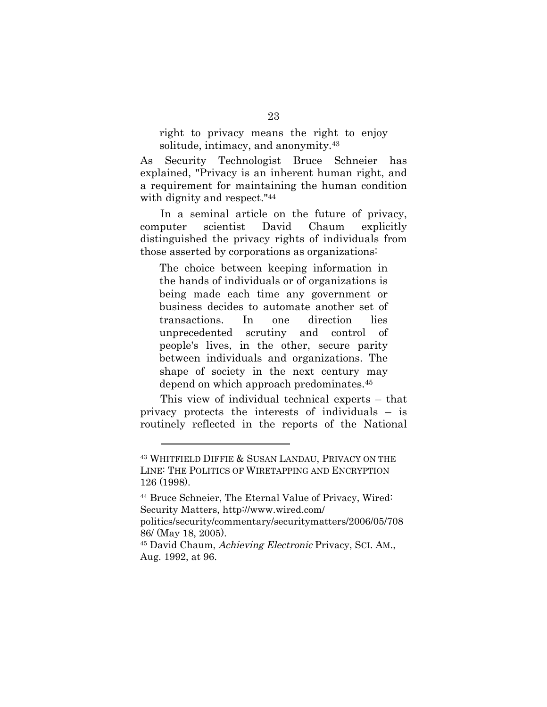right to privacy means the right to enjoy solitude, intimacy, and anonymity.43

As Security Technologist Bruce Schneier has explained, "Privacy is an inherent human right, and a requirement for maintaining the human condition with dignity and respect."44

In a seminal article on the future of privacy, computer scientist David Chaum explicitly distinguished the privacy rights of individuals from those asserted by corporations as organizations:

The choice between keeping information in the hands of individuals or of organizations is being made each time any government or business decides to automate another set of transactions. In one direction lies unprecedented scrutiny and control of people's lives, in the other, secure parity between individuals and organizations. The shape of society in the next century may depend on which approach predominates.45

This view of individual technical experts – that privacy protects the interests of individuals – is routinely reflected in the reports of the National

<sup>43</sup> WHITFIELD DIFFIE & SUSAN LANDAU, PRIVACY ON THE LINE: THE POLITICS OF WIRETAPPING AND ENCRYPTION 126 (1998).

<sup>44</sup> Bruce Schneier, The Eternal Value of Privacy, Wired: Security Matters, http://www.wired.com/

politics/security/commentary/securitymatters/2006/05/708 86/ (May 18, 2005).

<sup>45</sup> David Chaum, Achieving Electronic Privacy, SCI. AM., Aug. 1992, at 96.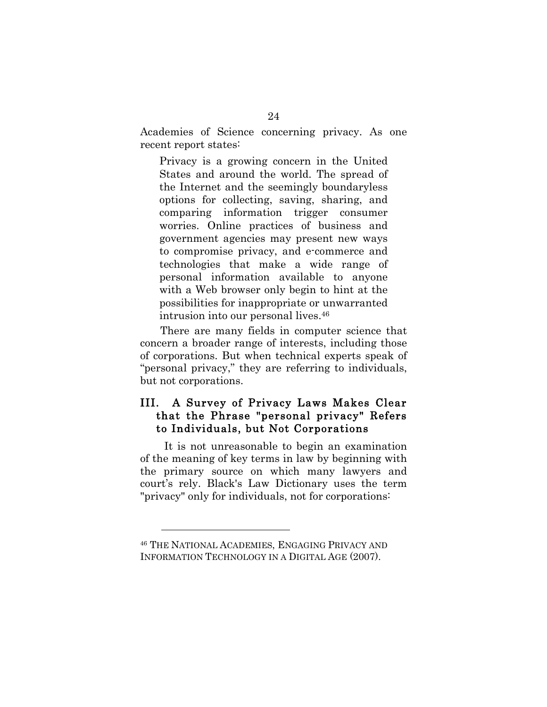Academies of Science concerning privacy. As one recent report states:

Privacy is a growing concern in the United States and around the world. The spread of the Internet and the seemingly boundaryless options for collecting, saving, sharing, and comparing information trigger consumer worries. Online practices of business and government agencies may present new ways to compromise privacy, and e-commerce and technologies that make a wide range of personal information available to anyone with a Web browser only begin to hint at the possibilities for inappropriate or unwarranted intrusion into our personal lives.46

There are many fields in computer science that concern a broader range of interests, including those of corporations. But when technical experts speak of "personal privacy," they are referring to individuals, but not corporations.

### III. A Survey of Privacy Laws Makes Clear that the Phrase "personal privacy" Refers to Individuals, but Not Corporations

It is not unreasonable to begin an examination of the meaning of key terms in law by beginning with the primary source on which many lawyers and court's rely. Black's Law Dictionary uses the term "privacy" only for individuals, not for corporations:

<sup>46</sup> THE NATIONAL ACADEMIES, ENGAGING PRIVACY AND INFORMATION TECHNOLOGY IN A DIGITAL AGE (2007).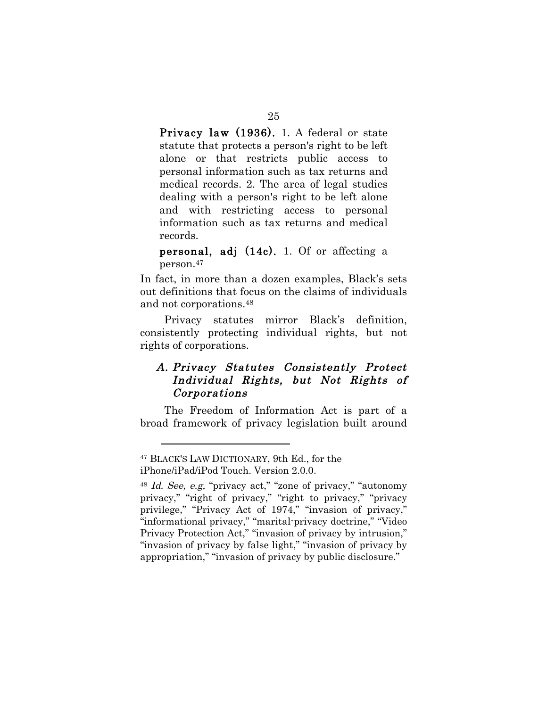Privacy law (1936). 1. A federal or state statute that protects a person's right to be left alone or that restricts public access to personal information such as tax returns and medical records. 2. The area of legal studies dealing with a person's right to be left alone and with restricting access to personal information such as tax returns and medical records.

personal, adj (14c). 1. Of or affecting a person.47

In fact, in more than a dozen examples, Black's sets out definitions that focus on the claims of individuals and not corporations.48

Privacy statutes mirror Black's definition, consistently protecting individual rights, but not rights of corporations.

# A. Privacy Statutes Consistently Protect Individual Rights, but Not Rights of Corporations

The Freedom of Information Act is part of a broad framework of privacy legislation built around

<sup>47</sup> BLACK'S LAW DICTIONARY, 9th Ed., for the

iPhone/iPad/iPod Touch. Version 2.0.0.

<sup>48</sup> Id. See, e.g, "privacy act," "zone of privacy," "autonomy privacy," "right of privacy," "right to privacy," "privacy privilege," "Privacy Act of 1974," "invasion of privacy," "informational privacy," "marital-privacy doctrine," "Video Privacy Protection Act," "invasion of privacy by intrusion," "invasion of privacy by false light," "invasion of privacy by appropriation," "invasion of privacy by public disclosure."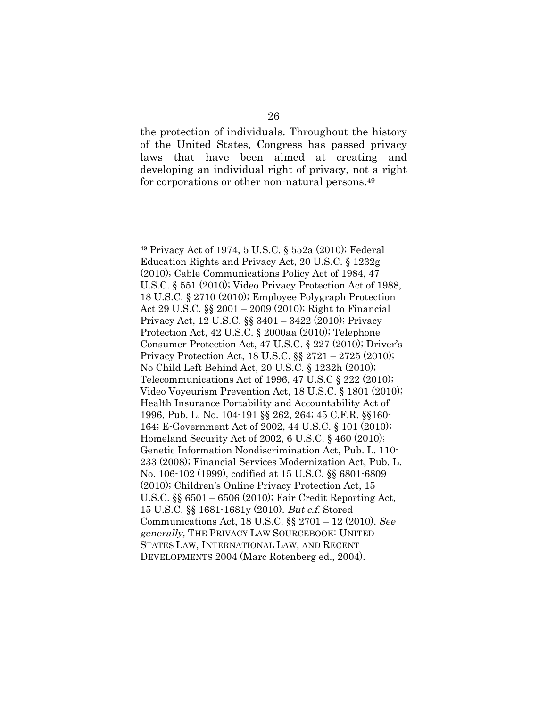the protection of individuals. Throughout the history of the United States, Congress has passed privacy laws that have been aimed at creating and developing an individual right of privacy, not a right for corporations or other non-natural persons.<sup>49</sup>

<sup>49</sup> Privacy Act of 1974, 5 U.S.C. § 552a (2010); Federal Education Rights and Privacy Act, 20 U.S.C. § 1232g (2010); Cable Communications Policy Act of 1984, 47 U.S.C. § 551 (2010); Video Privacy Protection Act of 1988, 18 U.S.C. § 2710 (2010); Employee Polygraph Protection Act 29 U.S.C. §§ 2001 – 2009 (2010); Right to Financial Privacy Act, 12 U.S.C. §§ 3401 – 3422 (2010); Privacy Protection Act, 42 U.S.C. § 2000aa (2010); Telephone Consumer Protection Act, 47 U.S.C. § 227 (2010); Driver's Privacy Protection Act, 18 U.S.C. §§ 2721 – 2725 (2010); No Child Left Behind Act, 20 U.S.C. § 1232h (2010); Telecommunications Act of 1996, 47 U.S.C § 222 (2010); Video Voyeurism Prevention Act, 18 U.S.C. § 1801 (2010); Health Insurance Portability and Accountability Act of 1996, Pub. L. No. 104-191 §§ 262, 264; 45 C.F.R. §§160- 164; E-Government Act of 2002, 44 U.S.C. § 101 (2010); Homeland Security Act of 2002, 6 U.S.C. § 460 (2010); Genetic Information Nondiscrimination Act, Pub. L. 110- 233 (2008); Financial Services Modernization Act, Pub. L. No. 106-102 (1999), codified at 15 U.S.C. §§ 6801-6809 (2010); Children's Online Privacy Protection Act, 15 U.S.C. §§ 6501 – 6506 (2010); Fair Credit Reporting Act, 15 U.S.C. §§ 1681-1681y (2010). But c.f. Stored Communications Act, 18 U.S.C. §§ 2701 – 12 (2010). See generally, THE PRIVACY LAW SOURCEBOOK: UNITED STATES LAW, INTERNATIONAL LAW, AND RECENT DEVELOPMENTS 2004 (Marc Rotenberg ed., 2004).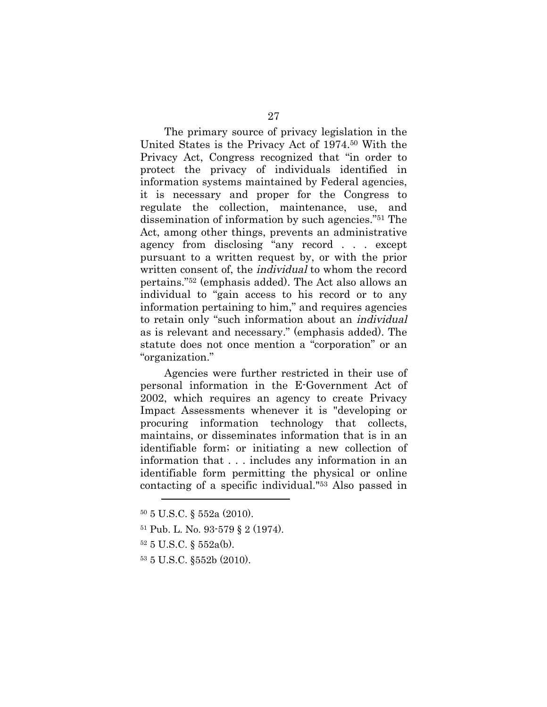The primary source of privacy legislation in the United States is the Privacy Act of 1974.50 With the Privacy Act, Congress recognized that "in order to protect the privacy of individuals identified in information systems maintained by Federal agencies, it is necessary and proper for the Congress to regulate the collection, maintenance, use, and dissemination of information by such agencies."51 The Act, among other things, prevents an administrative agency from disclosing "any record . . . except pursuant to a written request by, or with the prior written consent of, the individual to whom the record pertains."52 (emphasis added). The Act also allows an individual to "gain access to his record or to any information pertaining to him," and requires agencies to retain only "such information about an individual as is relevant and necessary." (emphasis added). The statute does not once mention a "corporation" or an "organization."

Agencies were further restricted in their use of personal information in the E-Government Act of 2002, which requires an agency to create Privacy Impact Assessments whenever it is "developing or procuring information technology that collects, maintains, or disseminates information that is in an identifiable form; or initiating a new collection of information that . . . includes any information in an identifiable form permitting the physical or online contacting of a specific individual."53 Also passed in

52 5 U.S.C. § 552a(b).

 $\overline{a}$ 

53 5 U.S.C. §552b (2010).

<sup>50 5</sup> U.S.C. § 552a (2010).

<sup>51</sup> Pub. L. No. 93-579 § 2 (1974).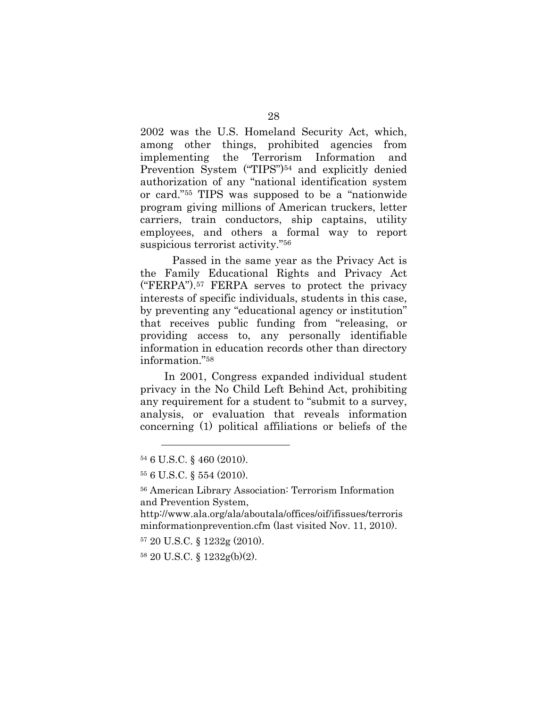2002 was the U.S. Homeland Security Act, which, among other things, prohibited agencies from implementing the Terrorism Information and Prevention System ("TIPS")<sup>54</sup> and explicitly denied authorization of any "national identification system or card."55 TIPS was supposed to be a "nationwide program giving millions of American truckers, letter carriers, train conductors, ship captains, utility employees, and others a formal way to report suspicious terrorist activity."56

Passed in the same year as the Privacy Act is the Family Educational Rights and Privacy Act ("FERPA").57 FERPA serves to protect the privacy interests of specific individuals, students in this case, by preventing any "educational agency or institution" that receives public funding from "releasing, or providing access to, any personally identifiable information in education records other than directory information."58

In 2001, Congress expanded individual student privacy in the No Child Left Behind Act, prohibiting any requirement for a student to "submit to a survey, analysis, or evaluation that reveals information concerning (1) political affiliations or beliefs of the

<sup>54 6</sup> U.S.C. § 460 (2010).

<sup>55 6</sup> U.S.C. § 554 (2010).

<sup>56</sup> American Library Association: Terrorism Information and Prevention System,

http://www.ala.org/ala/aboutala/offices/oif/ifissues/terroris minformationprevention.cfm (last visited Nov. 11, 2010).

<sup>57 20</sup> U.S.C. § 1232g (2010).

<sup>58 20</sup> U.S.C. § 1232g(b)(2).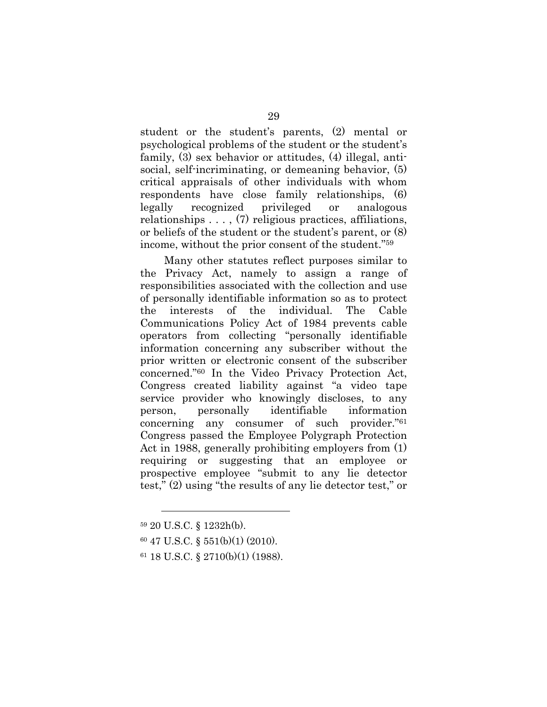student or the student's parents, (2) mental or psychological problems of the student or the student's family, (3) sex behavior or attitudes, (4) illegal, antisocial, self-incriminating, or demeaning behavior, (5) critical appraisals of other individuals with whom respondents have close family relationships, (6) legally recognized privileged or analogous relationships . . . , (7) religious practices, affiliations, or beliefs of the student or the student's parent, or (8) income, without the prior consent of the student."59

Many other statutes reflect purposes similar to the Privacy Act, namely to assign a range of responsibilities associated with the collection and use of personally identifiable information so as to protect the interests of the individual. The Cable Communications Policy Act of 1984 prevents cable operators from collecting "personally identifiable information concerning any subscriber without the prior written or electronic consent of the subscriber concerned."60 In the Video Privacy Protection Act, Congress created liability against "a video tape service provider who knowingly discloses, to any person, personally identifiable information concerning any consumer of such provider."61 Congress passed the Employee Polygraph Protection Act in 1988, generally prohibiting employers from (1) requiring or suggesting that an employee or prospective employee "submit to any lie detector test," (2) using "the results of any lie detector test," or

<sup>59 20</sup> U.S.C. § 1232h(b).

<sup>60 47</sup> U.S.C. § 551(b)(1) (2010).

<sup>61 18</sup> U.S.C. § 2710(b)(1) (1988).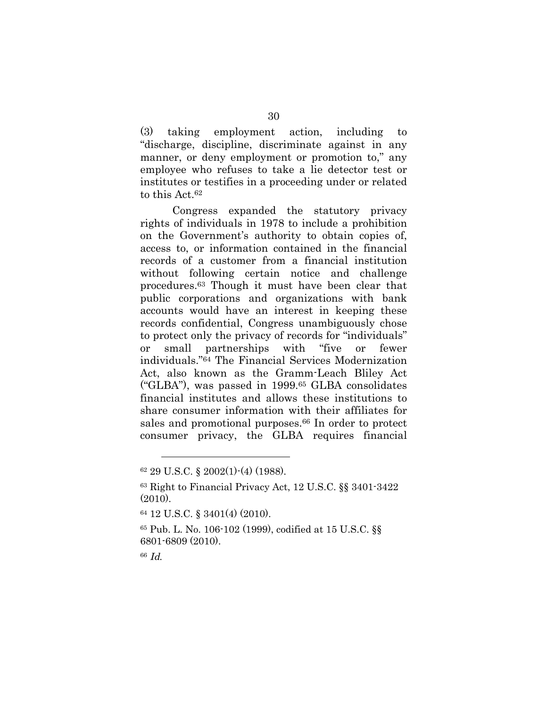(3) taking employment action, including to "discharge, discipline, discriminate against in any manner, or deny employment or promotion to," any employee who refuses to take a lie detector test or institutes or testifies in a proceeding under or related to this Act.62

Congress expanded the statutory privacy rights of individuals in 1978 to include a prohibition on the Government's authority to obtain copies of, access to, or information contained in the financial records of a customer from a financial institution without following certain notice and challenge procedures.63 Though it must have been clear that public corporations and organizations with bank accounts would have an interest in keeping these records confidential, Congress unambiguously chose to protect only the privacy of records for "individuals" or small partnerships with "five or fewer individuals."64 The Financial Services Modernization Act, also known as the Gramm-Leach Bliley Act ("GLBA"), was passed in 1999.65 GLBA consolidates financial institutes and allows these institutions to share consumer information with their affiliates for sales and promotional purposes.66 In order to protect consumer privacy, the GLBA requires financial

<sup>66</sup> Id.

<sup>62 29</sup> U.S.C. § 2002(1)-(4) (1988).

<sup>63</sup> Right to Financial Privacy Act, 12 U.S.C. §§ 3401-3422 (2010).

<sup>64 12</sup> U.S.C. § 3401(4) (2010).

<sup>65</sup> Pub. L. No. 106-102 (1999), codified at 15 U.S.C. §§ 6801-6809 (2010).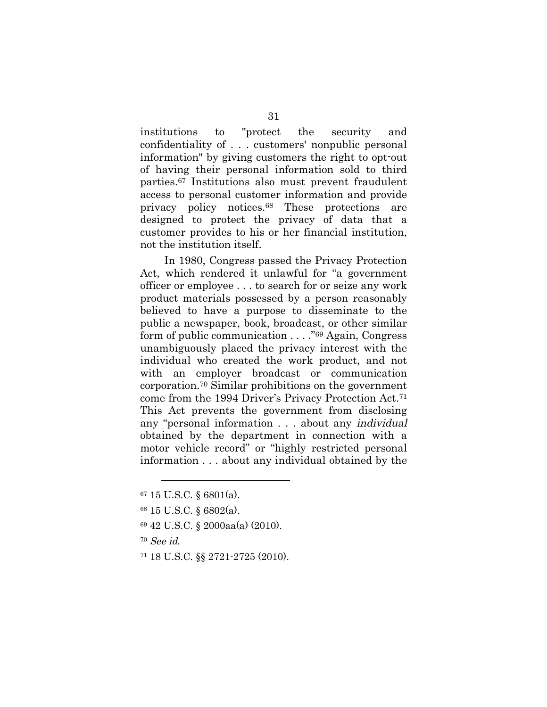institutions to "protect the security and confidentiality of . . . customers' nonpublic personal information" by giving customers the right to opt-out of having their personal information sold to third parties.67 Institutions also must prevent fraudulent access to personal customer information and provide privacy policy notices.68 These protections are designed to protect the privacy of data that a customer provides to his or her financial institution, not the institution itself.

In 1980, Congress passed the Privacy Protection Act, which rendered it unlawful for "a government officer or employee . . . to search for or seize any work product materials possessed by a person reasonably believed to have a purpose to disseminate to the public a newspaper, book, broadcast, or other similar form of public communication . . . ."69 Again, Congress unambiguously placed the privacy interest with the individual who created the work product, and not with an employer broadcast or communication corporation.70 Similar prohibitions on the government come from the 1994 Driver's Privacy Protection Act.71 This Act prevents the government from disclosing any "personal information . . . about any individual obtained by the department in connection with a motor vehicle record" or "highly restricted personal information . . . about any individual obtained by the

- 69 42 U.S.C. § 2000aa(a) (2010).
- <sup>70</sup> See id.

 $\overline{a}$ 

71 18 U.S.C. §§ 2721-2725 (2010).

<sup>67 15</sup> U.S.C. § 6801(a).

<sup>68 15</sup> U.S.C. § 6802(a).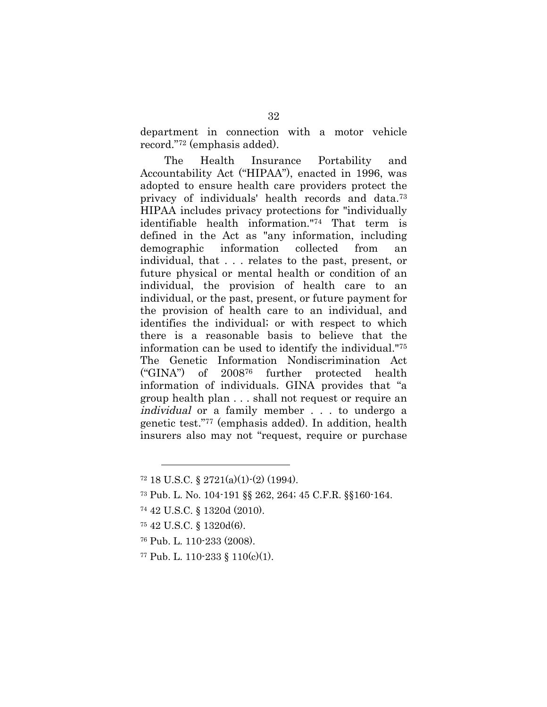department in connection with a motor vehicle record."72 (emphasis added).

The Health Insurance Portability and Accountability Act ("HIPAA"), enacted in 1996, was adopted to ensure health care providers protect the privacy of individuals' health records and data.73 HIPAA includes privacy protections for "individually identifiable health information."74 That term is defined in the Act as "any information, including demographic information collected from an individual, that . . . relates to the past, present, or future physical or mental health or condition of an individual, the provision of health care to an individual, or the past, present, or future payment for the provision of health care to an individual, and identifies the individual; or with respect to which there is a reasonable basis to believe that the information can be used to identify the individual."75 The Genetic Information Nondiscrimination Act ("GINA") of 200876 further protected health information of individuals. GINA provides that "a group health plan . . . shall not request or require an individual or a family member . . . to undergo a genetic test."77 (emphasis added). In addition, health insurers also may not "request, require or purchase

75 42 U.S.C. § 1320d(6).

- 76 Pub. L. 110-233 (2008).
- 77 Pub. L. 110-233 § 110(c)(1).

 $72$  18 U.S.C. § 2721(a)(1)-(2) (1994).

<sup>73</sup> Pub. L. No. 104-191 §§ 262, 264; 45 C.F.R. §§160-164.

<sup>74 42</sup> U.S.C. § 1320d (2010).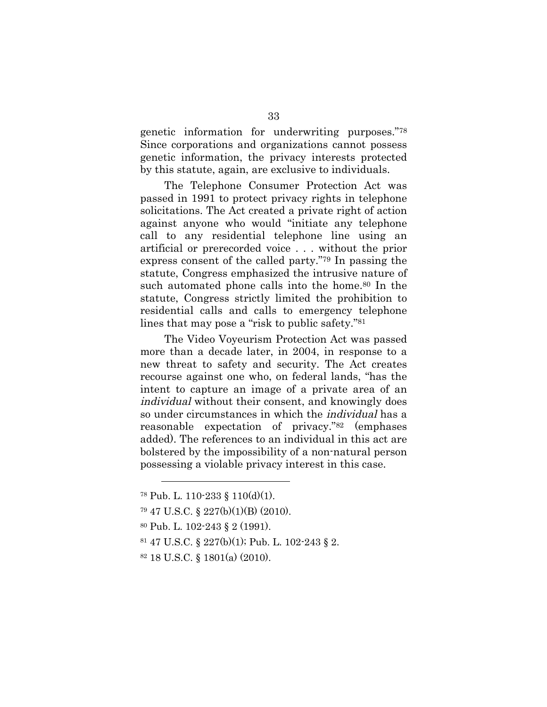genetic information for underwriting purposes."78 Since corporations and organizations cannot possess genetic information, the privacy interests protected by this statute, again, are exclusive to individuals.

The Telephone Consumer Protection Act was passed in 1991 to protect privacy rights in telephone solicitations. The Act created a private right of action against anyone who would "initiate any telephone call to any residential telephone line using an artificial or prerecorded voice . . . without the prior express consent of the called party."79 In passing the statute, Congress emphasized the intrusive nature of such automated phone calls into the home.<sup>80</sup> In the statute, Congress strictly limited the prohibition to residential calls and calls to emergency telephone lines that may pose a "risk to public safety."81

The Video Voyeurism Protection Act was passed more than a decade later, in 2004, in response to a new threat to safety and security. The Act creates recourse against one who, on federal lands, "has the intent to capture an image of a private area of an individual without their consent, and knowingly does so under circumstances in which the individual has a reasonable expectation of privacy."82 (emphases added). The references to an individual in this act are bolstered by the impossibility of a non-natural person possessing a violable privacy interest in this case.

- 81 47 U.S.C. § 227(b)(1); Pub. L. 102-243 § 2.
- 82 18 U.S.C. § 1801(a) (2010).

<sup>78</sup> Pub. L. 110-233 § 110(d)(1).

<sup>79 47</sup> U.S.C. § 227(b)(1)(B) (2010).

<sup>80</sup> Pub. L. 102-243 § 2 (1991).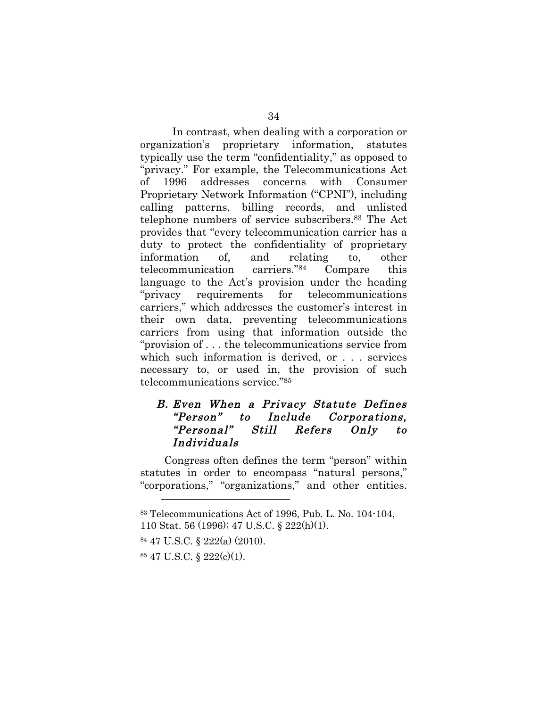In contrast, when dealing with a corporation or organization's proprietary information, statutes typically use the term "confidentiality," as opposed to "privacy." For example, the Telecommunications Act of 1996 addresses concerns with Consumer Proprietary Network Information ("CPNI"), including calling patterns, billing records, and unlisted telephone numbers of service subscribers.83 The Act provides that "every telecommunication carrier has a duty to protect the confidentiality of proprietary information of, and relating to, other telecommunication carriers."84 Compare this language to the Act's provision under the heading "privacy requirements for telecommunications carriers," which addresses the customer's interest in their own data, preventing telecommunications carriers from using that information outside the "provision of . . . the telecommunications service from which such information is derived, or . . . services necessary to, or used in, the provision of such telecommunications service."85

#### B. Even When a Privacy Statute Defines "Person" to Include Corporations, "Personal" Still Refers Only to Individuals

Congress often defines the term "person" within statutes in order to encompass "natural persons," "corporations," "organizations," and other entities.

<sup>83</sup> Telecommunications Act of 1996, Pub. L. No. 104-104,

<sup>110</sup> Stat. 56 (1996); 47 U.S.C. § 222(h)(1).

<sup>84 47</sup> U.S.C. § 222(a) (2010).

<sup>85 47</sup> U.S.C. § 222(c)(1).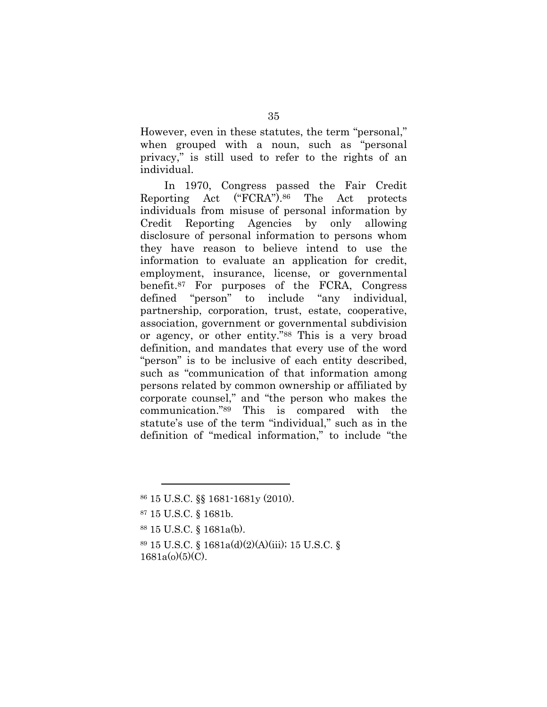However, even in these statutes, the term "personal," when grouped with a noun, such as "personal privacy," is still used to refer to the rights of an individual.

In 1970, Congress passed the Fair Credit Reporting Act ("FCRA").86 The Act protects individuals from misuse of personal information by Credit Reporting Agencies by only allowing disclosure of personal information to persons whom they have reason to believe intend to use the information to evaluate an application for credit, employment, insurance, license, or governmental benefit.87 For purposes of the FCRA, Congress defined "person" to include "any individual, partnership, corporation, trust, estate, cooperative, association, government or governmental subdivision or agency, or other entity."88 This is a very broad definition, and mandates that every use of the word "person" is to be inclusive of each entity described, such as "communication of that information among persons related by common ownership or affiliated by corporate counsel," and "the person who makes the communication."89 This is compared with the statute's use of the term "individual," such as in the definition of "medical information," to include "the

<sup>86 15</sup> U.S.C. §§ 1681-1681y (2010).

<sup>87 15</sup> U.S.C. § 1681b.

<sup>88 15</sup> U.S.C. § 1681a(b).

<sup>89 15</sup> U.S.C. § 1681a(d)(2)(A)(iii); 15 U.S.C. §  $1681a(0)(5)(C)$ .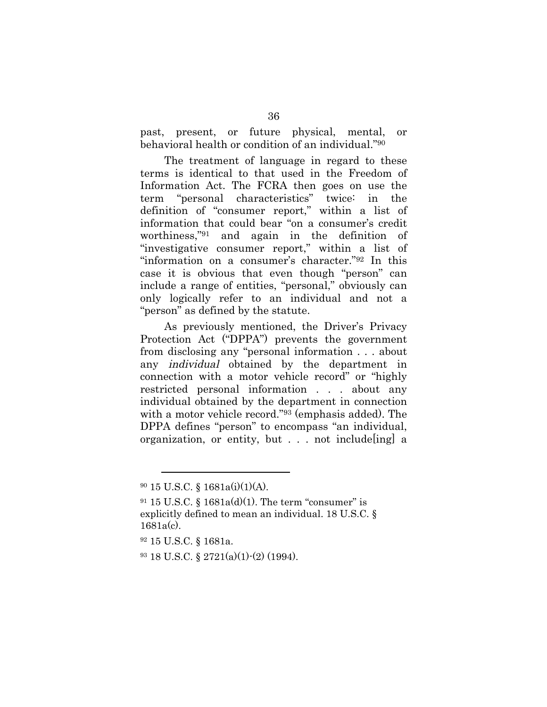past, present, or future physical, mental, or behavioral health or condition of an individual."90

The treatment of language in regard to these terms is identical to that used in the Freedom of Information Act. The FCRA then goes on use the term "personal characteristics" twice: in the definition of "consumer report," within a list of information that could bear "on a consumer's credit worthiness,"91 and again in the definition of "investigative consumer report," within a list of "information on a consumer's character."92 In this case it is obvious that even though "person" can include a range of entities, "personal," obviously can only logically refer to an individual and not a "person" as defined by the statute.

As previously mentioned, the Driver's Privacy Protection Act ("DPPA") prevents the government from disclosing any "personal information . . . about any individual obtained by the department in connection with a motor vehicle record" or "highly restricted personal information . . . about any individual obtained by the department in connection with a motor vehicle record."93 (emphasis added). The DPPA defines "person" to encompass "an individual, organization, or entity, but . . . not include[ing] a

<sup>90 15</sup> U.S.C. § 1681a(i)(1)(A).

 $91$  15 U.S.C. § 1681a(d)(1). The term "consumer" is explicitly defined to mean an individual. 18 U.S.C. § 1681a(c).

<sup>92 15</sup> U.S.C. § 1681a.

<sup>93 18</sup> U.S.C. § 2721(a)(1)-(2) (1994).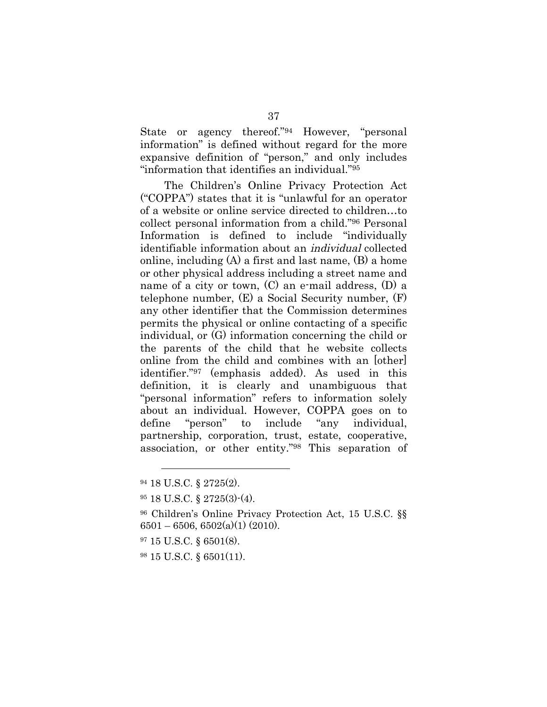State or agency thereof."94 However, "personal information" is defined without regard for the more expansive definition of "person," and only includes "information that identifies an individual."95

The Children's Online Privacy Protection Act ("COPPA") states that it is "unlawful for an operator of a website or online service directed to children…to collect personal information from a child."96 Personal Information is defined to include "individually identifiable information about an individual collected online, including (A) a first and last name, (B) a home or other physical address including a street name and name of a city or town, (C) an e-mail address, (D) a telephone number, (E) a Social Security number, (F) any other identifier that the Commission determines permits the physical or online contacting of a specific individual, or (G) information concerning the child or the parents of the child that he website collects online from the child and combines with an [other] identifier."97 (emphasis added). As used in this definition, it is clearly and unambiguous that "personal information" refers to information solely about an individual. However, COPPA goes on to define "person" to include "any individual, partnership, corporation, trust, estate, cooperative, association, or other entity."98 This separation of

 $\overline{a}$ 

97 15 U.S.C. § 6501(8).

98 15 U.S.C. § 6501(11).

<sup>94 18</sup> U.S.C. § 2725(2).

<sup>95 18</sup> U.S.C. § 2725(3)-(4).

<sup>96</sup> Children's Online Privacy Protection Act, 15 U.S.C. §§  $6501 - 6506$ ,  $6502(a)(1)(2010)$ .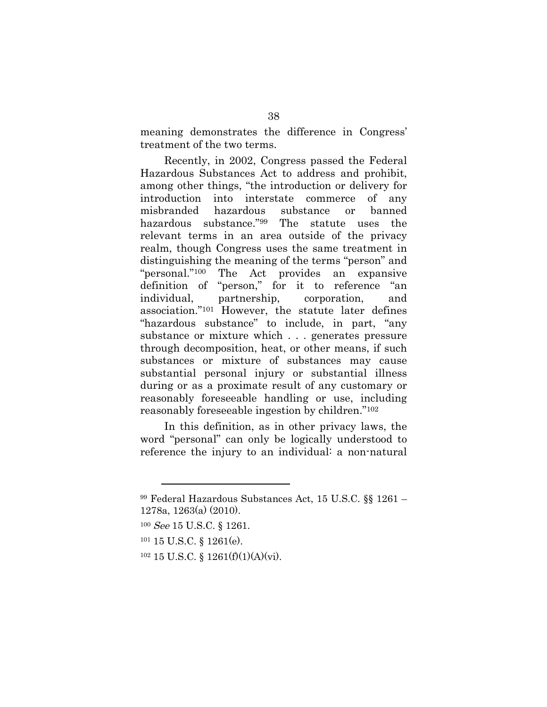meaning demonstrates the difference in Congress' treatment of the two terms.

Recently, in 2002, Congress passed the Federal Hazardous Substances Act to address and prohibit, among other things, "the introduction or delivery for introduction into interstate commerce of any misbranded hazardous substance or banned hazardous substance."99 The statute uses the relevant terms in an area outside of the privacy realm, though Congress uses the same treatment in distinguishing the meaning of the terms "person" and "personal."100 The Act provides an expansive definition of "person," for it to reference "an individual, partnership, corporation, and association."101 However, the statute later defines "hazardous substance" to include, in part, "any substance or mixture which . . . generates pressure through decomposition, heat, or other means, if such substances or mixture of substances may cause substantial personal injury or substantial illness during or as a proximate result of any customary or reasonably foreseeable handling or use, including reasonably foreseeable ingestion by children."102

In this definition, as in other privacy laws, the word "personal" can only be logically understood to reference the injury to an individual: a non-natural

 $\overline{a}$ 

101 15 U.S.C. § 1261(e).

 $102$  15 U.S.C. § 1261(f)(1)(A)(vi).

<sup>99</sup> Federal Hazardous Substances Act, 15 U.S.C. §§ 1261 – 1278a, 1263(a) (2010).

<sup>100</sup> See 15 U.S.C. § 1261.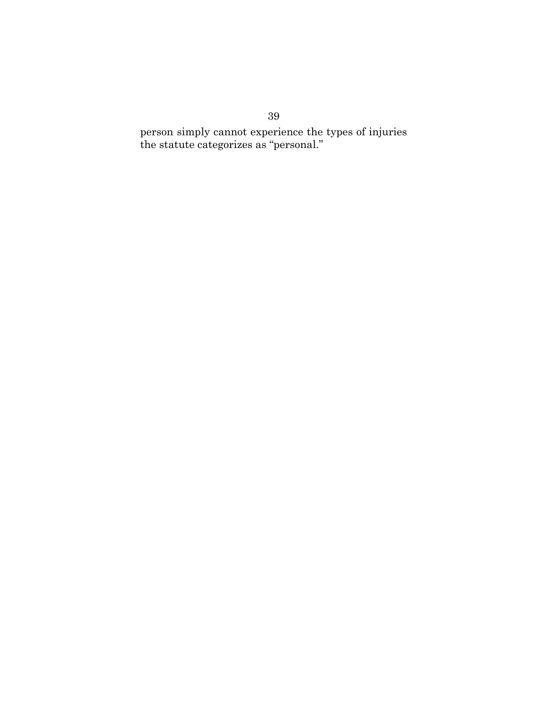person simply cannot experience the types of injuries the statute categorizes as "personal."